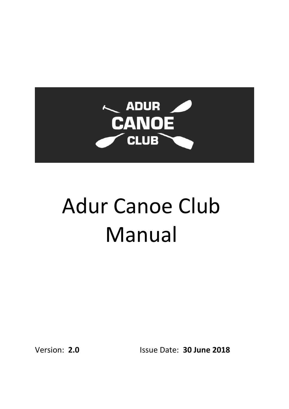

# Adur Canoe Club Manual

Version: **2.0** Issue Date: **30 June 2018**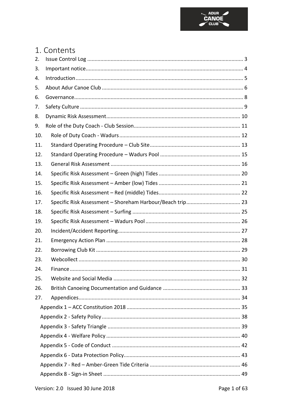

### 1. Contents

| 2.  |  |  |  |
|-----|--|--|--|
| 3.  |  |  |  |
| 4.  |  |  |  |
| 5.  |  |  |  |
| 6.  |  |  |  |
| 7.  |  |  |  |
| 8.  |  |  |  |
| 9.  |  |  |  |
| 10. |  |  |  |
| 11. |  |  |  |
| 12. |  |  |  |
| 13. |  |  |  |
| 14. |  |  |  |
| 15. |  |  |  |
| 16. |  |  |  |
| 17. |  |  |  |
| 18. |  |  |  |
| 19. |  |  |  |
| 20. |  |  |  |
| 21. |  |  |  |
| 22. |  |  |  |
| 23. |  |  |  |
| 24. |  |  |  |
| 25. |  |  |  |
| 26. |  |  |  |
| 27. |  |  |  |
|     |  |  |  |
|     |  |  |  |
|     |  |  |  |
|     |  |  |  |
|     |  |  |  |
|     |  |  |  |
|     |  |  |  |
|     |  |  |  |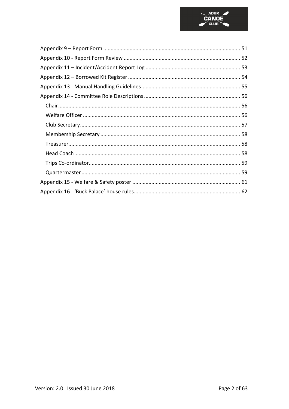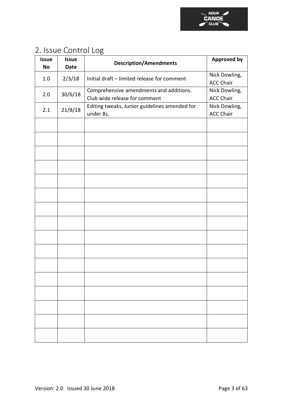

### <span id="page-3-0"></span>2. Issue Control Log

| <b>Issue</b><br>No | <b>Issue</b><br><b>Date</b> | <b>Description/Amendments</b>                                            | <b>Approved by</b>                |
|--------------------|-----------------------------|--------------------------------------------------------------------------|-----------------------------------|
| 1.0                | 2/3/18                      | Initial draft - limited release for comment                              | Nick Dowling,<br><b>ACC Chair</b> |
| 2.0                | 30/6/18                     | Comprehensive amendments and additions.<br>Club wide release for comment | Nick Dowling,<br><b>ACC Chair</b> |
| 2.1                | 21/8/18                     | Editing tweaks, Junior guidelines amended for<br>under 8s,               | Nick Dowling,<br><b>ACC Chair</b> |
|                    |                             |                                                                          |                                   |
|                    |                             |                                                                          |                                   |
|                    |                             |                                                                          |                                   |
|                    |                             |                                                                          |                                   |
|                    |                             |                                                                          |                                   |
|                    |                             |                                                                          |                                   |
|                    |                             |                                                                          |                                   |
|                    |                             |                                                                          |                                   |
|                    |                             |                                                                          |                                   |
|                    |                             |                                                                          |                                   |
|                    |                             |                                                                          |                                   |
|                    |                             |                                                                          |                                   |
|                    |                             |                                                                          |                                   |
|                    |                             |                                                                          |                                   |
|                    |                             |                                                                          |                                   |
|                    |                             |                                                                          |                                   |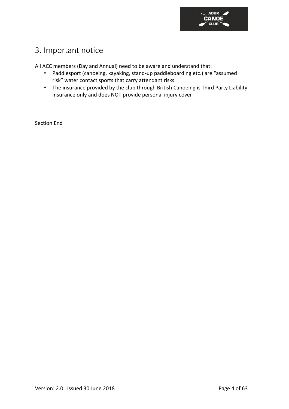

### <span id="page-4-0"></span>3. Important notice

All ACC members (Day and Annual) need to be aware and understand that:

- ⬧ Paddlesport (canoeing, kayaking, stand-up paddleboarding etc.) are "assumed risk" water contact sports that carry attendant risks
- ⬧ The insurance provided by the club through British Canoeing is Third Party Liability insurance only and does NOT provide personal injury cover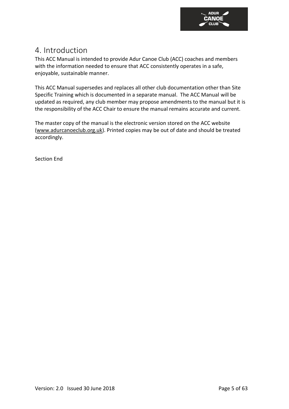

### <span id="page-5-0"></span>4. Introduction

This ACC Manual is intended to provide Adur Canoe Club (ACC) coaches and members with the information needed to ensure that ACC consistently operates in a safe, enjoyable, sustainable manner.

This ACC Manual supersedes and replaces all other club documentation other than Site Specific Training which is documented in a separate manual. The ACC Manual will be updated as required, any club member may propose amendments to the manual but it is the responsibility of the ACC Chair to ensure the manual remains accurate and current.

The master copy of the manual is the electronic version stored on the ACC website [\(www.adurcanoeclub.org.uk\)](http://www.adurcanoeclub.org.uk/). Printed copies may be out of date and should be treated accordingly.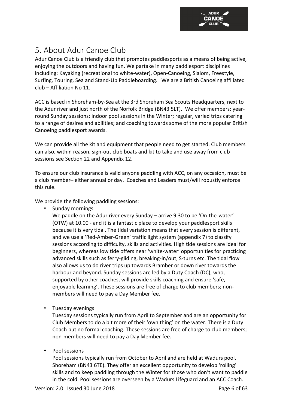

### <span id="page-6-0"></span>5. About Adur Canoe Club

Adur Canoe Club is a friendly club that promotes paddlesports as a means of being active, enjoying the outdoors and having fun. We partake in many paddlesport disciplines including: Kayaking (recreational to white-water), Open-Canoeing, Slalom, Freestyle, Surfing, Touring, Sea and Stand-Up Paddleboarding. We are a British Canoeing affiliated club – Affiliation No 11.

ACC is based in Shoreham-by-Sea at the 3rd Shoreham Sea Scouts Headquarters, next to the Adur river and just north of the Norfolk Bridge (BN43 5LT). We offer members: yearround Sunday sessions; indoor pool sessions in the Winter; regular, varied trips catering to a range of desires and abilities; and coaching towards some of the more popular British Canoeing paddlesport awards.

We can provide all the kit and equipment that people need to get started. Club members can also, within reason, sign-out club boats and kit to take and use away from club sessions see Section 22 and Appendix 12.

To ensure our club insurance is valid anyone paddling with ACC, on any occasion, must be a club member– either annual or day. Coaches and Leaders must/will robustly enforce this rule.

We provide the following paddling sessions:

⬧ Sunday mornings

We paddle on the Adur river every Sunday – arrive 9.30 to be 'On-the-water' (OTW) at 10.00 - and it is a fantastic place to develop your paddlesport skills because it is very tidal. The tidal variation means that every session is different, and we use a 'Red-Amber-Green' traffic light system (appendix 7) to classify sessions according to difficulty, skills and activities. High tide sessions are ideal for beginners, whereas low tide offers near 'white-water' opportunities for practicing advanced skills such as ferry-gliding, breaking-in/out, S-turns etc. The tidal flow also allows us to do river trips up towards Bramber or down river towards the harbour and beyond. Sunday sessions are led by a Duty Coach (DC), who, supported by other coaches, will provide skills coaching and ensure 'safe, enjoyable learning'. These sessions are free of charge to club members; nonmembers will need to pay a Day Member fee.

⬧ Tuesday evenings

Tuesday sessions typically run from April to September and are an opportunity for Club Members to do a bit more of their 'own thing' on the water. There is a Duty Coach but no formal coaching. These sessions are free of charge to club members; non-members will need to pay a Day Member fee.

⬧ Pool sessions

Pool sessions typically run from October to April and are held at Wadurs pool, Shoreham (BN43 6TE). They offer an excellent opportunity to develop 'rolling' skills and to keep paddling through the Winter for those who don't want to paddle in the cold. Pool sessions are overseen by a Wadurs Lifeguard and an ACC Coach.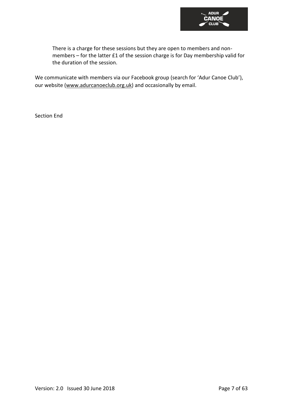

There is a charge for these sessions but they are open to members and nonmembers – for the latter £1 of the session charge is for Day membership valid for the duration of the session.

We communicate with members via our Facebook group [\(search](https://www.facebook.com/groups/297913619065/) for 'Adur Canoe Club'), our website [\(www.adurcanoeclub.org.uk\)](http://www.adurcanoeclub.org.uk/) and occasionally by email.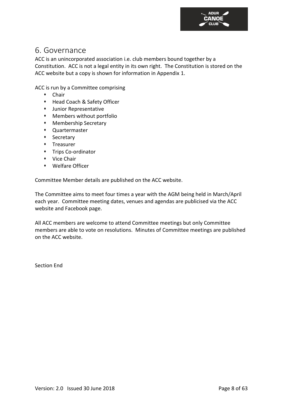

### <span id="page-8-0"></span>6. Governance

ACC is an unincorporated association i.e. club members bound together by a Constitution. ACC is not a legal entity in its own right. The Constitution is stored on the ACC website but a copy is shown for information in Appendix 1.

ACC is run by a Committee comprising

- ⬧ Chair
- ⬧ Head Coach & Safety Officer
- ⬧ Junior Representative
- ⬧ Members without portfolio
- ⬧ Membership Secretary
- ⬧ Quartermaster
- ⬧ Secretary
- ⬧ Treasurer
- ⬧ Trips Co-ordinator
- ⬧ Vice Chair
- ⬧ Welfare Officer

Committee Member details are published on the ACC website.

The Committee aims to meet four times a year with the AGM being held in March/April each year. Committee meeting dates, venues and agendas are publicised via the ACC website and Facebook page.

All ACC members are welcome to attend Committee meetings but only Committee members are able to vote on resolutions. Minutes of Committee meetings are published on the ACC website.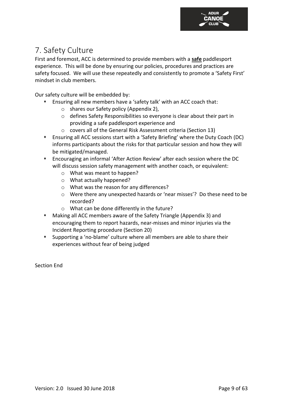

### <span id="page-9-0"></span>7. Safety Culture

First and foremost, ACC is determined to provide members with a **safe** paddlesport experience. This will be done by ensuring our policies, procedures and practices are safety focused. We will use these repeatedly and consistently to promote a 'Safety First' mindset in club members.

Our safety culture will be embedded by:

- ⬧ Ensuring all new members have a 'safety talk' with an ACC coach that:
	- o shares our Safety policy (Appendix 2),
	- o defines Safety Responsibilities so everyone is clear about their part in providing a safe paddlesport experience and
	- o covers all of the General Risk Assessment criteria (Section 13)
- ⬧ Ensuring all ACC sessions start with a 'Safety Briefing' where the Duty Coach (DC) informs participants about the risks for that particular session and how they will be mitigated/managed.
- ⬧ Encouraging an informal 'After Action Review' after each session where the DC will discuss session safety management with another coach, or equivalent:
	- o What was meant to happen?
	- o What actually happened?
	- o What was the reason for any differences?
	- o Were there any unexpected hazards or 'near misses'? Do these need to be recorded?
	- o What can be done differently in the future?
- ⬧ Making all ACC members aware of the Safety Triangle (Appendix 3) and encouraging them to report hazards, near-misses and minor injuries via the Incident Reporting procedure (Section 20)
- ⬧ Supporting a 'no-blame' culture where all members are able to share their experiences without fear of being judged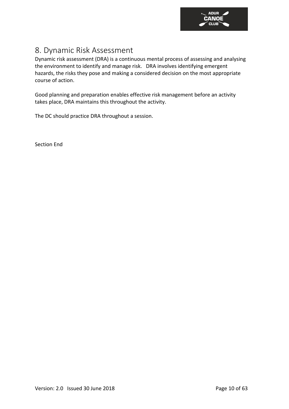

### <span id="page-10-0"></span>8. Dynamic Risk Assessment

Dynamic risk assessment (DRA) is a continuous mental process of assessing and analysing the environment to identify and manage risk. DRA involves identifying emergent hazards, the risks they pose and making a considered decision on the most appropriate course of action.

Good planning and preparation enables effective risk management before an activity takes place, DRA maintains this throughout the activity.

The DC should practice DRA throughout a session.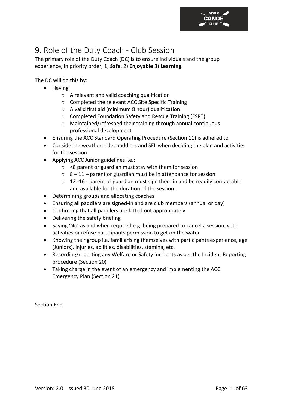

### <span id="page-11-0"></span>9. Role of the Duty Coach - Club Session

The primary role of the Duty Coach (DC) is to ensure individuals and the group experience, in priority order, 1) **Safe**, 2) **Enjoyable** 3) **Learning**.

The DC will do this by:

- Having
	- o A relevant and valid coaching qualification
	- o Completed the relevant ACC Site Specific Training
	- o A valid first aid (minimum 8 hour) qualification
	- o Completed Foundation Safety and Rescue Training (FSRT)
	- o Maintained/refreshed their training through annual continuous professional development
- Ensuring the ACC Standard Operating Procedure (Section 11) is adhered to
- Considering weather, tide, paddlers and SEL when deciding the plan and activities for the session
- Applying ACC Junior guidelines i.e.:
	- o <8 parent or guardian must stay with them for session
	- $\circ$  8 11 parent or guardian must be in attendance for session
	- o 12 -16 parent or guardian must sign them in and be readily contactable and available for the duration of the session.
- Determining groups and allocating coaches
- Ensuring all paddlers are signed-in and are club members (annual or day)
- Confirming that all paddlers are kitted out appropriately
- Delivering the safety briefing
- Saying 'No' as and when required e.g. being prepared to cancel a session, veto activities or refuse participants permission to get on the water
- Knowing their group i.e. familiarising themselves with participants experience, age (Juniors), injuries, abilities, disabilities, stamina, etc.
- Recording/reporting any Welfare or Safety incidents as per the Incident Reporting procedure (Section 20)
- Taking charge in the event of an emergency and implementing the ACC Emergency Plan (Section 21)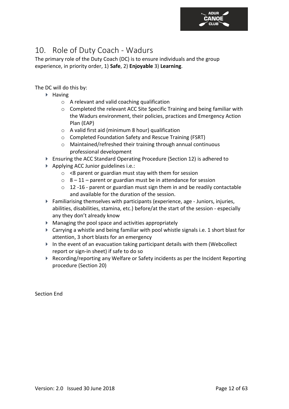

### <span id="page-12-0"></span>10. Role of Duty Coach - Wadurs

The primary role of the Duty Coach (DC) is to ensure individuals and the group experience, in priority order, 1) **Safe**, 2) **Enjoyable** 3) **Learning**.

The DC will do this by:

- $\blacktriangleright$  Having
	- o A relevant and valid coaching qualification
	- o Completed the relevant ACC Site Specific Training and being familiar with the Wadurs environment, their policies, practices and Emergency Action Plan (EAP)
	- o A valid first aid (minimum 8 hour) qualification
	- o Completed Foundation Safety and Rescue Training (FSRT)
	- o Maintained/refreshed their training through annual continuous professional development
- Ensuring the ACC Standard Operating Procedure (Section 12) is adhered to
- $\blacktriangleright$  Applying ACC Junior guidelines i.e.:
	- $\circ$  <8 parent or guardian must stay with them for session
	- $\circ$  8 11 parent or guardian must be in attendance for session
	- o 12 -16 parent or guardian must sign them in and be readily contactable and available for the duration of the session.
- $\blacktriangleright$  Familiarising themselves with participants (experience, age Juniors, injuries, abilities, disabilities, stamina, etc.) before/at the start of the session - especially any they don't already know
- Managing the pool space and activities appropriately
- $\blacktriangleright$  Carrying a whistle and being familiar with pool whistle signals i.e. 1 short blast for attention, 3 short blasts for an emergency
- In the event of an evacuation taking participant details with them (Webcollect report or sign-in sheet) if safe to do so
- $\triangleright$  Recording/reporting any Welfare or Safety incidents as per the Incident Reporting procedure (Section 20)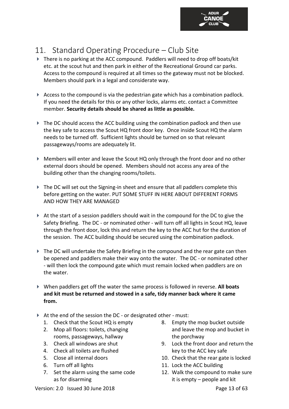

### <span id="page-13-0"></span>11. Standard Operating Procedure – Club Site

- There is no parking at the ACC compound. Paddlers will need to drop off boats/kit etc. at the scout hut and then park in either of the Recreational Ground car parks. Access to the compound is required at all times so the gateway must not be blocked. Members should park in a legal and considerate way.
- Access to the compound is via the pedestrian gate which has a combination padlock. If you need the details for this or any other locks, alarms etc. contact a Committee member. **Security details should be shared as little as possible.**
- $\blacktriangleright$  The DC should access the ACC building using the combination padlock and then use the key safe to access the Scout HQ front door key. Once inside Scout HQ the alarm needs to be turned off. Sufficient lights should be turned on so that relevant passageways/rooms are adequately lit.
- Members will enter and leave the Scout HQ only through the front door and no other external doors should be opened. Members should not access any area of the building other than the changing rooms/toilets.
- $\blacktriangleright$  The DC will set out the Signing-in sheet and ensure that all paddlers complete this before getting on the water. PUT SOME STUFF IN HERE ABOUT DIFFERENT FORMS AND HOW THEY ARE MANAGED
- $\triangleright$  At the start of a session paddlers should wait in the compound for the DC to give the Safety Briefing. The DC - or nominated other - will turn off all lights in Scout HQ, leave through the front door, lock this and return the key to the ACC hut for the duration of the session. The ACC building should be secured using the combination padlock.
- ▶ The DC will undertake the Safety Briefing in the compound and the rear gate can then be opened and paddlers make their way onto the water. The DC - or nominated other - will then lock the compound gate which must remain locked when paddlers are on the water.
- When paddlers get off the water the same process is followed in reverse. **All boats and kit must be returned and stowed in a safe, tidy manner back where it came from.**
- At the end of the session the DC or designated other must:
	- 1. Check that the Scout HQ is empty
	- 2. Mop all floors: toilets, changing rooms, passageways, hallway
	- 3. Check all windows are shut
	- 4. Check all toilets are flushed
	- 5. Close all internal doors
	- 6. Turn off all lights
	- 7. Set the alarm using the same code as for disarming
- 8. Empty the mop bucket outside and leave the mop and bucket in the porchway
- 9. Lock the front door and return the key to the ACC key safe
- 10. Check that the rear gate is locked
- 11. Lock the ACC building
- 12. Walk the compound to make sure it is empty – people and kit

Version: 2.0 Issued 30 June 2018 Page 13 of 63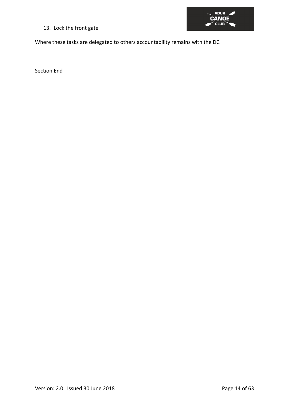13. Lock the front gate



Where these tasks are delegated to others accountability remains with the DC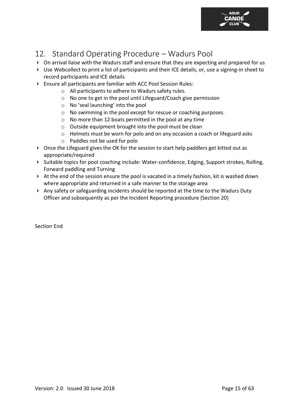

### <span id="page-15-0"></span>12. Standard Operating Procedure – Wadurs Pool

- On arrival liaise with the Wadurs staff and ensure that they are expecting and prepared for us
- Use Webcollect to print a list of participants and their ICE details, or, use a signing-in sheet to record participants and ICE details
- Ensure all participants are familiar with ACC Pool Session Rules:
	- o All participants to adhere to Wadurs safety rules.
	- o No one to get in the pool until Lifeguard/Coach give permission
	- o No 'seal launching' into the pool
	- o No swimming in the pool except for rescue or coaching purposes.
	- o No more than 12 boats permitted in the pool at any time
	- o Outside equipment brought into the pool must be clean
	- $\circ$  Helmets must be worn for polo and on any occasion a coach or lifeguard asks
	- o Paddles not be used for polo
- Once the Lifeguard gives the OK for the session to start help paddlers get kitted out as appropriate/required
- Suitable topics for pool coaching include: Water-confidence, Edging, Support strokes, Rolling, Forward paddling and Turning
- At the end of the session ensure the pool is vacated in a timely fashion, kit is washed down where appropriate and returned in a safe manner to the storage area
- Any safety or safeguarding incidents should be reported at the time to the Wadurs Duty Officer and subsequently as per the Incident Reporting procedure (Section 20)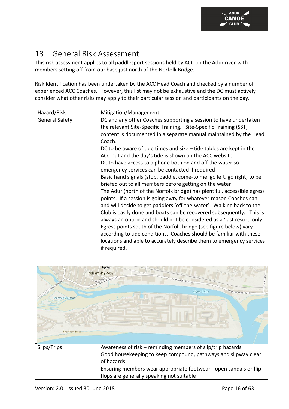### <span id="page-16-0"></span>13. General Risk Assessment

This risk assessment applies to all paddlesport sessions held by ACC on the Adur river with members setting off from our base just north of the Norfolk Bridge.

Risk Identification has been undertaken by the ACC Head Coach and checked by a number of experienced ACC Coaches. However, this list may not be exhaustive and the DC must actively consider what other risks may apply to their particular session and participants on the day.

| Hazard/Risk           | Mitigation/Management                                                   |
|-----------------------|-------------------------------------------------------------------------|
| <b>General Safety</b> | DC and any other Coaches supporting a session to have undertaken        |
|                       | the relevant Site-Specific Training. Site-Specific Training (SST)       |
|                       | content is documented in a separate manual maintained by the Head       |
|                       | Coach.                                                                  |
|                       | DC to be aware of tide times and size $-$ tide tables are kept in the   |
|                       | ACC hut and the day's tide is shown on the ACC website                  |
|                       | DC to have access to a phone both on and off the water so               |
|                       | emergency services can be contacted if required                         |
|                       | Basic hand signals (stop, paddle, come-to me, go left, go right) to be  |
|                       | briefed out to all members before getting on the water                  |
|                       | The Adur (north of the Norfolk bridge) has plentiful, accessible egress |
|                       | points. If a session is going awry for whatever reason Coaches can      |
|                       | and will decide to get paddlers 'off-the-water'. Walking back to the    |
|                       | Club is easily done and boats can be recovered subsequently. This is    |
|                       | always an option and should not be considered as a 'last resort' only.  |
|                       | Egress points south of the Norfolk bridge (see figure below) vary       |
|                       | according to tide conditions. Coaches should be familiar with these     |
|                       | locations and able to accurately describe them to emergency services    |
|                       | if required.                                                            |
|                       |                                                                         |

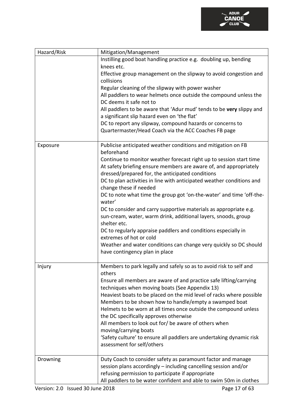

| Hazard/Risk | Mitigation/Management                                                 |
|-------------|-----------------------------------------------------------------------|
|             | Instilling good boat handling practice e.g. doubling up, bending      |
|             | knees etc.                                                            |
|             | Effective group management on the slipway to avoid congestion and     |
|             | collisions                                                            |
|             | Regular cleaning of the slipway with power washer                     |
|             | All paddlers to wear helmets once outside the compound unless the     |
|             | DC deems it safe not to                                               |
|             | All paddlers to be aware that 'Adur mud' tends to be very slippy and  |
|             | a significant slip hazard even on 'the flat'                          |
|             | DC to report any slipway, compound hazards or concerns to             |
|             | Quartermaster/Head Coach via the ACC Coaches FB page                  |
|             |                                                                       |
| Exposure    | Publicise anticipated weather conditions and mitigation on FB         |
|             | beforehand                                                            |
|             | Continue to monitor weather forecast right up to session start time   |
|             | At safety briefing ensure members are aware of, and appropriately     |
|             | dressed/prepared for, the anticipated conditions                      |
|             | DC to plan activities in line with anticipated weather conditions and |
|             | change these if needed                                                |
|             | DC to note what time the group got 'on-the-water' and time 'off-the-  |
|             | water'                                                                |
|             | DC to consider and carry supportive materials as appropriate e.g.     |
|             | sun-cream, water, warm drink, additional layers, snoods, group        |
|             | shelter etc.                                                          |
|             | DC to regularly appraise paddlers and conditions especially in        |
|             | extremes of hot or cold                                               |
|             | Weather and water conditions can change very quickly so DC should     |
|             | have contingency plan in place                                        |
|             |                                                                       |
| Injury      | Members to park legally and safely so as to avoid risk to self and    |
|             | others                                                                |
|             | Ensure all members are aware of and practice safe lifting/carrying    |
|             | techniques when moving boats (See Appendix 13)                        |
|             | Heaviest boats to be placed on the mid level of racks where possible  |
|             | Members to be shown how to handle/empty a swamped boat                |
|             | Helmets to be worn at all times once outside the compound unless      |
|             | the DC specifically approves otherwise                                |
|             | All members to look out for/ be aware of others when                  |
|             | moving/carrying boats                                                 |
|             | 'Safety culture' to ensure all paddlers are undertaking dynamic risk  |
|             | assessment for self/others                                            |
|             |                                                                       |
| Drowning    | Duty Coach to consider safety as paramount factor and manage          |
|             | session plans accordingly – including cancelling session and/or       |
|             | refusing permission to participate if appropriate                     |
|             | All paddlers to be water confident and able to swim 50m in clothes    |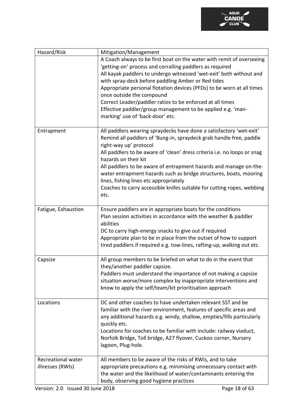

| Hazard/Risk                            | Mitigation/Management                                                                                                                                                                                                                                            |
|----------------------------------------|------------------------------------------------------------------------------------------------------------------------------------------------------------------------------------------------------------------------------------------------------------------|
|                                        | A Coach always to be first boat on the water with remit of overseeing                                                                                                                                                                                            |
|                                        | 'getting-on' process and corralling paddlers as required                                                                                                                                                                                                         |
|                                        | All kayak paddlers to undergo witnessed 'wet-exit' both without and                                                                                                                                                                                              |
|                                        | with spray-deck before paddling Amber or Red tides                                                                                                                                                                                                               |
|                                        | Appropriate personal flotation devices (PFDs) to be worn at all times                                                                                                                                                                                            |
|                                        | once outside the compound                                                                                                                                                                                                                                        |
|                                        | Correct Leader/paddler ratios to be enforced at all times                                                                                                                                                                                                        |
|                                        | Effective paddler/group management to be applied e.g. 'man-                                                                                                                                                                                                      |
|                                        | marking' use of 'back-door' etc.                                                                                                                                                                                                                                 |
|                                        |                                                                                                                                                                                                                                                                  |
| Entrapment                             | All paddlers wearing spraydecks have done a satisfactory 'wet-exit'                                                                                                                                                                                              |
|                                        | Remind all paddlers of 'Bung-in, spraydeck grab handle free, paddle                                                                                                                                                                                              |
|                                        | right-way up' protocol                                                                                                                                                                                                                                           |
|                                        | All paddlers to be aware of 'clean' dress criteria i.e. no loops or snag                                                                                                                                                                                         |
|                                        | hazards on their kit                                                                                                                                                                                                                                             |
|                                        | All paddlers to be aware of entrapment hazards and manage on-the-                                                                                                                                                                                                |
|                                        | water entrapment hazards such as bridge structures, boats, mooring                                                                                                                                                                                               |
|                                        | lines, fishing lines etc appropriately                                                                                                                                                                                                                           |
|                                        | Coaches to carry accessible knifes suitable for cutting ropes, webbing                                                                                                                                                                                           |
|                                        | etc.                                                                                                                                                                                                                                                             |
|                                        |                                                                                                                                                                                                                                                                  |
| Fatigue, Exhaustion                    | Ensure paddlers are in appropriate boats for the conditions                                                                                                                                                                                                      |
|                                        | Plan session activities in accordance with the weather & paddler                                                                                                                                                                                                 |
|                                        | abilities                                                                                                                                                                                                                                                        |
|                                        | DC to carry high-energy snacks to give out if required                                                                                                                                                                                                           |
|                                        | Appropriate plan to be in place from the outset of how to support                                                                                                                                                                                                |
|                                        | tired paddlers if required e.g. tow-lines, rafting-up, walking out etc.                                                                                                                                                                                          |
|                                        |                                                                                                                                                                                                                                                                  |
| Capsize                                | All group members to be briefed on what to do in the event that                                                                                                                                                                                                  |
|                                        | they/another paddler capsize.                                                                                                                                                                                                                                    |
|                                        | Paddlers must understand the importance of not making a capsize                                                                                                                                                                                                  |
|                                        | situation worse/more complex by inappropriate interventions and                                                                                                                                                                                                  |
|                                        | know to apply the self/team/kit prioritisation approach                                                                                                                                                                                                          |
|                                        |                                                                                                                                                                                                                                                                  |
| Locations                              | DC and other coaches to have undertaken relevant SST and be                                                                                                                                                                                                      |
|                                        | familiar with the river environment, features of specific areas and                                                                                                                                                                                              |
|                                        | any additional hazards e.g. windy, shallow, empties/fills particularly                                                                                                                                                                                           |
|                                        | quickly etc.                                                                                                                                                                                                                                                     |
|                                        | Locations for coaches to be familiar with include: railway viaduct,                                                                                                                                                                                              |
|                                        | Norfolk Bridge, Toll bridge, A27 flyover, Cuckoo corner, Nursery                                                                                                                                                                                                 |
|                                        |                                                                                                                                                                                                                                                                  |
|                                        |                                                                                                                                                                                                                                                                  |
|                                        |                                                                                                                                                                                                                                                                  |
|                                        |                                                                                                                                                                                                                                                                  |
|                                        |                                                                                                                                                                                                                                                                  |
|                                        |                                                                                                                                                                                                                                                                  |
| Recreational water<br>illnesses (RWIs) | lagoon, Plug-hole.<br>All members to be aware of the risks of RWIs, and to take<br>appropriate precautions e.g. minimising unnecessary contact with<br>the water and the likelihood of water/contaminants entering the<br>body, observing good hygiene practices |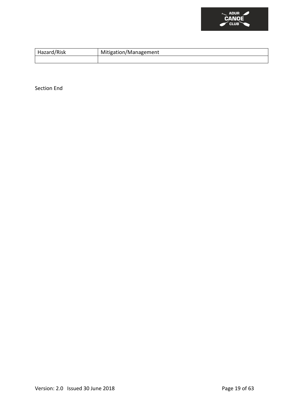

| Hazard/Risk | Mitigation/Management |
|-------------|-----------------------|
|             |                       |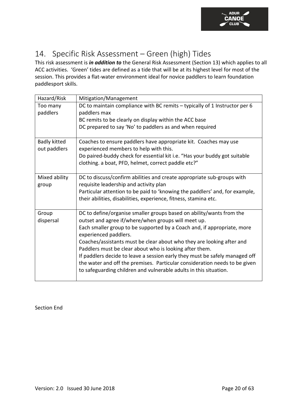

### <span id="page-20-0"></span>14. Specific Risk Assessment – Green (high) Tides

This risk assessment is *in addition to* the General Risk Assessment (Section 13) which applies to all ACC activities. 'Green' tides are defined as a tide that will be at its highest level for most of the session. This provides a flat-water environment ideal for novice paddlers to learn foundation paddlesport skills.

| Hazard/Risk                         | Mitigation/Management                                                                                                                                                                                                                                                                                                                                                                                                                                                                                                                                                                                 |
|-------------------------------------|-------------------------------------------------------------------------------------------------------------------------------------------------------------------------------------------------------------------------------------------------------------------------------------------------------------------------------------------------------------------------------------------------------------------------------------------------------------------------------------------------------------------------------------------------------------------------------------------------------|
| Too many<br>paddlers                | DC to maintain compliance with BC remits - typically of 1 Instructor per 6<br>paddlers max<br>BC remits to be clearly on display within the ACC base<br>DC prepared to say 'No' to paddlers as and when required                                                                                                                                                                                                                                                                                                                                                                                      |
| <b>Badly kitted</b><br>out paddlers | Coaches to ensure paddlers have appropriate kit. Coaches may use<br>experienced members to help with this.<br>Do paired-buddy check for essential kit i.e. "Has your buddy got suitable<br>clothing. a boat, PFD, helmet, correct paddle etc?"                                                                                                                                                                                                                                                                                                                                                        |
| Mixed ability<br>group              | DC to discuss/confirm abilities and create appropriate sub-groups with<br>requisite leadership and activity plan<br>Particular attention to be paid to 'knowing the paddlers' and, for example,<br>their abilities, disabilities, experience, fitness, stamina etc.                                                                                                                                                                                                                                                                                                                                   |
| Group<br>dispersal                  | DC to define/organise smaller groups based on ability/wants from the<br>outset and agree if/where/when groups will meet up.<br>Each smaller group to be supported by a Coach and, if appropriate, more<br>experienced paddlers.<br>Coaches/assistants must be clear about who they are looking after and<br>Paddlers must be clear about who is looking after them.<br>If paddlers decide to leave a session early they must be safely managed off<br>the water and off the premises. Particular consideration needs to be given<br>to safeguarding children and vulnerable adults in this situation. |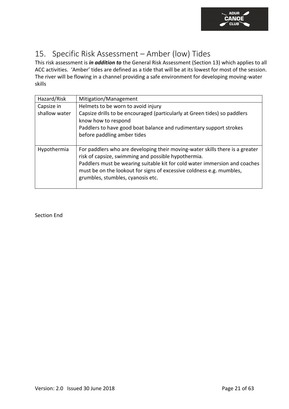

### <span id="page-21-0"></span>15. Specific Risk Assessment – Amber (low) Tides

This risk assessment is *in addition to* the General Risk Assessment (Section 13) which applies to all ACC activities. 'Amber' tides are defined as a tide that will be at its lowest for most of the session. The river will be flowing in a channel providing a safe environment for developing moving-water skills

| Hazard/Risk   | Mitigation/Management                                                        |
|---------------|------------------------------------------------------------------------------|
| Capsize in    | Helmets to be worn to avoid injury                                           |
| shallow water | Capsize drills to be encouraged (particularly at Green tides) so paddlers    |
|               | know how to respond                                                          |
|               | Paddlers to have good boat balance and rudimentary support strokes           |
|               | before paddling amber tides                                                  |
|               |                                                                              |
| Hypothermia   | For paddlers who are developing their moving-water skills there is a greater |
|               | risk of capsize, swimming and possible hypothermia.                          |
|               | Paddlers must be wearing suitable kit for cold water immersion and coaches   |
|               | must be on the lookout for signs of excessive coldness e.g. mumbles,         |
|               | grumbles, stumbles, cyanosis etc.                                            |
|               |                                                                              |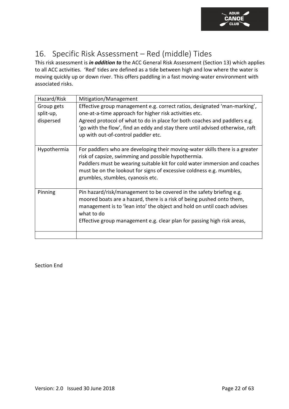

### <span id="page-22-0"></span>16. Specific Risk Assessment – Red (middle) Tides

This risk assessment is *in addition to* the ACC General Risk Assessment (Section 13) which applies to all ACC activities. 'Red' tides are defined as a tide between high and low where the water is moving quickly up or down river. This offers paddling in a fast moving-water environment with associated risks.

| Hazard/Risk                          | Mitigation/Management                                                                                                                                                                                                                                                                                                                    |
|--------------------------------------|------------------------------------------------------------------------------------------------------------------------------------------------------------------------------------------------------------------------------------------------------------------------------------------------------------------------------------------|
| Group gets<br>split-up,<br>dispersed | Effective group management e.g. correct ratios, designated 'man-marking',<br>one-at-a-time approach for higher risk activities etc.<br>Agreed protocol of what to do in place for both coaches and paddlers e.g.<br>'go with the flow', find an eddy and stay there until advised otherwise, raft<br>up with out-of-control paddler etc. |
| Hypothermia                          | For paddlers who are developing their moving-water skills there is a greater<br>risk of capsize, swimming and possible hypothermia.<br>Paddlers must be wearing suitable kit for cold water immersion and coaches<br>must be on the lookout for signs of excessive coldness e.g. mumbles,<br>grumbles, stumbles, cyanosis etc.           |
| Pinning                              | Pin hazard/risk/management to be covered in the safety briefing e.g.<br>moored boats are a hazard, there is a risk of being pushed onto them,<br>management is to 'lean into' the object and hold on until coach advises<br>what to do<br>Effective group management e.g. clear plan for passing high risk areas,                        |
|                                      |                                                                                                                                                                                                                                                                                                                                          |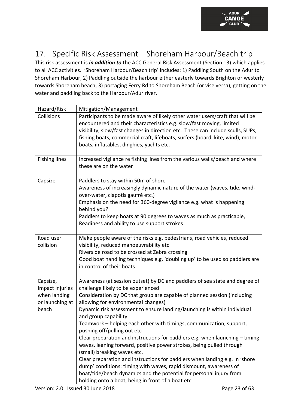

### <span id="page-23-0"></span>17. Specific Risk Assessment – Shoreham Harbour/Beach trip

This risk assessment is *in addition to* the ACC General Risk Assessment (Section 13) which applies to all ACC activities. 'Shoreham Harbour/Beach trip' includes: 1) Paddling South on the Adur to Shoreham Harbour, 2) Paddling outside the harbour either easterly towards Brighton or westerly towards Shoreham beach, 3) portaging Ferry Rd to Shoreham Beach (or vise versa), getting on the water and paddling back to the Harbour/Adur river.

| Hazard/Risk                                                             | Mitigation/Management                                                                                                                                                                                                                                                                                                                                                                                                                                                                                                                                                                                                                                                                                                                                                                                                                                            |
|-------------------------------------------------------------------------|------------------------------------------------------------------------------------------------------------------------------------------------------------------------------------------------------------------------------------------------------------------------------------------------------------------------------------------------------------------------------------------------------------------------------------------------------------------------------------------------------------------------------------------------------------------------------------------------------------------------------------------------------------------------------------------------------------------------------------------------------------------------------------------------------------------------------------------------------------------|
| Collisions                                                              | Participants to be made aware of likely other water users/craft that will be<br>encountered and their characteristics e.g. slow/fast moving, limited<br>visibility, slow/fast changes in direction etc. These can include sculls, SUPs,<br>fishing boats, commercial craft, lifeboats, surfers (board, kite, wind), motor<br>boats, inflatables, dinghies, yachts etc.                                                                                                                                                                                                                                                                                                                                                                                                                                                                                           |
| <b>Fishing lines</b>                                                    | Increased vigilance re fishing lines from the various walls/beach and where<br>these are on the water                                                                                                                                                                                                                                                                                                                                                                                                                                                                                                                                                                                                                                                                                                                                                            |
| Capsize                                                                 | Paddlers to stay within 50m of shore<br>Awareness of increasingly dynamic nature of the water (waves, tide, wind-<br>over-water, clapotis gaufré etc.)<br>Emphasis on the need for 360-degree vigilance e.g. what is happening<br>behind you?<br>Paddlers to keep boats at 90 degrees to waves as much as practicable,<br>Readiness and ability to use support strokes                                                                                                                                                                                                                                                                                                                                                                                                                                                                                           |
| Road user<br>collision                                                  | Make people aware of the risks e.g. pedestrians, road vehicles, reduced<br>visibility, reduced manoeuvrability etc<br>Riverside road to be crossed at Zebra crossing<br>Good boat handling techniques e.g. 'doubling up' to be used so paddlers are<br>in control of their boats                                                                                                                                                                                                                                                                                                                                                                                                                                                                                                                                                                                 |
| Capsize,<br>Impact injuries<br>when landing<br>or launching at<br>beach | Awareness (at session outset) by DC and paddlers of sea state and degree of<br>challenge likely to be experienced<br>Consideration by DC that group are capable of planned session (including<br>allowing for environmental changes)<br>Dynamic risk assessment to ensure landing/launching is within individual<br>and group capability<br>Teamwork - helping each other with timings, communication, support,<br>pushing off/pulling out etc<br>Clear preparation and instructions for paddlers e.g. when launching - timing<br>waves, leaning forward, positive power strokes, being pulled through<br>(small) breaking waves etc.<br>Clear preparation and instructions for paddlers when landing e.g. in 'shore<br>dump' conditions: timing with waves, rapid dismount, awareness of<br>boat/tide/beach dynamics and the potential for personal injury from |
|                                                                         | holding onto a boat, being in front of a boat etc.                                                                                                                                                                                                                                                                                                                                                                                                                                                                                                                                                                                                                                                                                                                                                                                                               |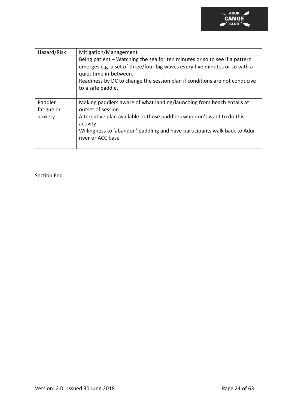

| Hazard/Risk                      | Mitigation/Management                                                                                                                                                                                                                                                                 |
|----------------------------------|---------------------------------------------------------------------------------------------------------------------------------------------------------------------------------------------------------------------------------------------------------------------------------------|
|                                  | Being patient – Watching the sea for ten minutes or so to see if a pattern<br>emerges e.g. a set of three/four big waves every five minutes or so with a<br>quiet time in-between.<br>Readiness by DC to change the session plan if conditions are not conducive<br>to a safe paddle. |
| Paddler<br>fatigue or<br>anxiety | Making paddlers aware of what landing/launching from beach entails at<br>outset of session<br>Alternative plan available to those paddlers who don't want to do this<br>activity<br>Willingness to 'abandon' paddling and have participants walk back to Adur<br>river or ACC base    |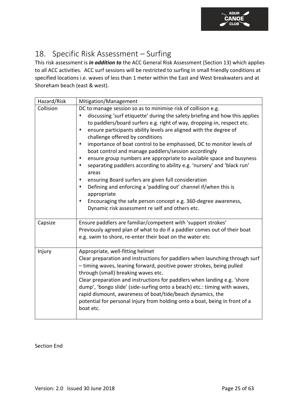

### <span id="page-25-0"></span>18. Specific Risk Assessment – Surfing

This risk assessment is *in addition to* the ACC General Risk Assessment (Section 13) which applies to all ACC activities. ACC surf sessions will be restricted to surfing in small friendly conditions at specified locations i.e. waves of less than 1 meter within the East and West breakwaters and at Shoreham beach (east & west).

| Hazard/Risk | Mitigation/Management                                                                                                                                                                                                                                                                                                                                                                                                                                                                                                                                                                                                                                                                                                                                                                                                                                                                         |
|-------------|-----------------------------------------------------------------------------------------------------------------------------------------------------------------------------------------------------------------------------------------------------------------------------------------------------------------------------------------------------------------------------------------------------------------------------------------------------------------------------------------------------------------------------------------------------------------------------------------------------------------------------------------------------------------------------------------------------------------------------------------------------------------------------------------------------------------------------------------------------------------------------------------------|
| Collision   | DC to manage session so as to minimise risk of collision e.g.<br>discussing 'surf etiquette' during the safety briefing and how this applies<br>to paddlers/board surfers e.g. right of way, dropping-in, respect etc.<br>ensure participants ability levels are aligned with the degree of<br>challenge offered by conditions<br>importance of boat control to be emphasised, DC to monitor levels of<br>boat control and manage paddlers/session accordingly<br>ensure group numbers are appropriate to available space and busyness<br>separating paddlers according to ability e.g. 'nursery' and 'black run'<br>areas<br>ensuring Board surfers are given full consideration<br>Defining and enforcing a 'paddling out' channel if/when this is<br>appropriate<br>Encouraging the safe person concept e.g. 360-degree awareness,<br>٠<br>Dynamic risk assessment re self and others etc. |
| Capsize     | Ensure paddlers are familiar/competent with 'support strokes'<br>Previously agreed plan of what to do if a paddler comes out of their boat<br>e.g. swim to shore, re-enter their boat on the water etc                                                                                                                                                                                                                                                                                                                                                                                                                                                                                                                                                                                                                                                                                        |
| Injury      | Appropriate, well-fitting helmet<br>Clear preparation and instructions for paddlers when launching through surf<br>- timing waves, leaning forward, positive power strokes, being pulled<br>through (small) breaking waves etc.<br>Clear preparation and instructions for paddlers when landing e.g. 'shore<br>dump', 'bongo slide' (side-surfing onto a beach) etc.: timing with waves,<br>rapid dismount, awareness of boat/tide/beach dynamics, the<br>potential for personal injury from holding onto a boat, being in front of a<br>boat etc.                                                                                                                                                                                                                                                                                                                                            |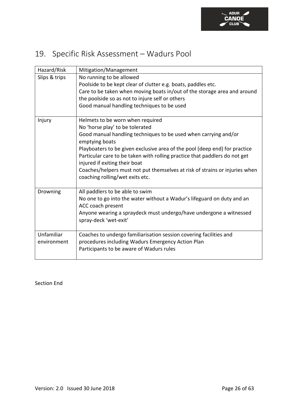### <span id="page-26-0"></span>19. Specific Risk Assessment – Wadurs Pool

| Hazard/Risk   | Mitigation/Management                                                                                                                                    |
|---------------|----------------------------------------------------------------------------------------------------------------------------------------------------------|
| Slips & trips | No running to be allowed<br>Poolside to be kept clear of clutter e.g. boats, paddles etc.                                                                |
|               | Care to be taken when moving boats in/out of the storage area and around<br>the poolside so as not to injure self or others                              |
|               | Good manual handling techniques to be used                                                                                                               |
| Injury        | Helmets to be worn when required<br>No 'horse play' to be tolerated                                                                                      |
|               | Good manual handling techniques to be used when carrying and/or<br>emptying boats                                                                        |
|               | Playboaters to be given exclusive area of the pool (deep end) for practice<br>Particular care to be taken with rolling practice that paddlers do not get |
|               | injured if exiting their boat<br>Coaches/helpers must not put themselves at risk of strains or injuries when                                             |
|               | coaching rolling/wet exits etc.                                                                                                                          |
| Drowning      | All paddlers to be able to swim                                                                                                                          |
|               | No one to go into the water without a Wadur's lifeguard on duty and an<br>ACC coach present                                                              |
|               | Anyone wearing a spraydeck must undergo/have undergone a witnessed<br>spray-deck 'wet-exit'                                                              |
| Unfamiliar    | Coaches to undergo familiarisation session covering facilities and                                                                                       |
| environment   | procedures including Wadurs Emergency Action Plan<br>Participants to be aware of Wadurs rules                                                            |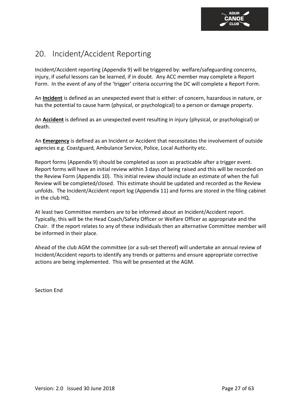### <span id="page-27-0"></span>20. Incident/Accident Reporting

Incident/Accident reporting (Appendix 9) will be triggered by: welfare/safeguarding concerns, injury, if useful lessons can be learned, if in doubt. Any ACC member may complete a Report Form. In the event of any of the 'trigger' criteria occurring the DC will complete a Report Form.

An **Incident** is defined as an unexpected event that is either: of concern, hazardous in nature, or has the potential to cause harm (physical, or psychological) to a person or damage property.

An **Accident** is defined as an unexpected event resulting in injury (physical, or psychological) or death.

An **Emergency** is defined as an Incident or Accident that necessitates the involvement of outside agencies e.g. Coastguard, Ambulance Service, Police, Local Authority etc.

Report forms (Appendix 9) should be completed as soon as practicable after a trigger event. Report forms will have an initial review within 3 days of being raised and this will be recorded on the Review Form (Appendix 10). This initial review should include an estimate of when the full Review will be completed/closed. This estimate should be updated and recorded as the Review unfolds. The Incident/Accident report log (Appendix 11) and forms are stored in the filing cabinet in the club HQ.

At least two Committee members are to be informed about an Incident/Accident report. Typically, this will be the Head Coach/Safety Officer or Welfare Officer as appropriate and the Chair. If the report relates to any of these individuals then an alternative Committee member will be informed in their place.

Ahead of the club AGM the committee (or a sub-set thereof) will undertake an annual review of Incident/Accident reports to identify any trends or patterns and ensure appropriate corrective actions are being implemented. This will be presented at the AGM.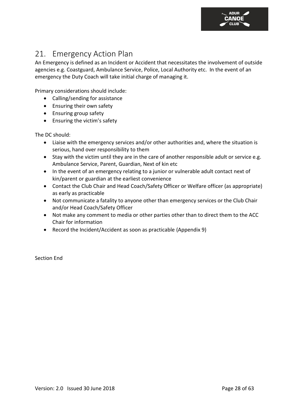

### <span id="page-28-0"></span>21. Emergency Action Plan

An Emergency is defined as an Incident or Accident that necessitates the involvement of outside agencies e.g. Coastguard, Ambulance Service, Police, Local Authority etc. In the event of an emergency the Duty Coach will take initial charge of managing it.

Primary considerations should include:

- Calling/sending for assistance
- Ensuring their own safety
- Ensuring group safety
- Ensuring the victim's safety

The DC should:

- Liaise with the emergency services and/or other authorities and, where the situation is serious, hand over responsibility to them
- Stay with the victim until they are in the care of another responsible adult or service e.g. Ambulance Service, Parent, Guardian, Next of kin etc
- In the event of an emergency relating to a junior or vulnerable adult contact next of kin/parent or guardian at the earliest convenience
- Contact the Club Chair and Head Coach/Safety Officer or Welfare officer (as appropriate) as early as practicable
- Not communicate a fatality to anyone other than emergency services or the Club Chair and/or Head Coach/Safety Officer
- Not make any comment to media or other parties other than to direct them to the ACC Chair for information
- Record the Incident/Accident as soon as practicable (Appendix 9)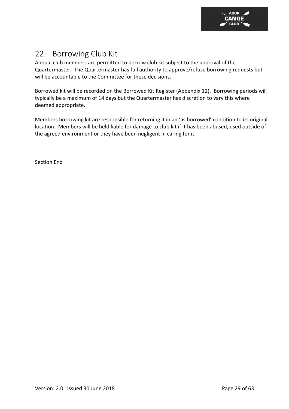

### <span id="page-29-0"></span>22. Borrowing Club Kit

Annual club members are permitted to borrow club kit subject to the approval of the Quartermaster. The Quartermaster has full authority to approve/refuse borrowing requests but will be accountable to the Committee for these decisions.

Borrowed kit will be recorded on the Borrowed Kit Register (Appendix 12). Borrowing periods will typically be a maximum of 14 days but the Quartermaster has discretion to vary this where deemed appropriate.

Members borrowing kit are responsible for returning it in an 'as borrowed' condition to its original location. Members will be held liable for damage to club kit if it has been abused, used outside of the agreed environment or they have been negligent in caring for it.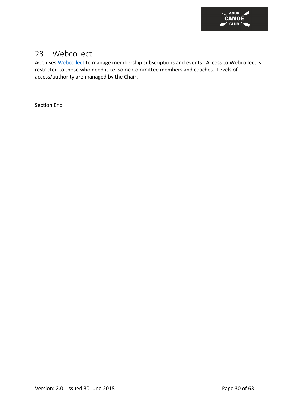

### <span id="page-30-0"></span>23. Webcollect

ACC uses [Webcollect](https://webcollect.org.uk/acc) to manage membership subscriptions and events. Access to Webcollect is restricted to those who need it i.e. some Committee members and coaches. Levels of access/authority are managed by the Chair.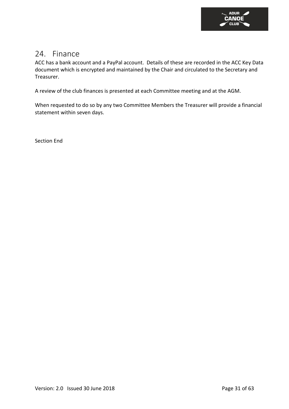

### <span id="page-31-0"></span>24. Finance

ACC has a bank account and a PayPal account. Details of these are recorded in the ACC Key Data document which is encrypted and maintained by the Chair and circulated to the Secretary and Treasurer.

A review of the club finances is presented at each Committee meeting and at the AGM.

When requested to do so by any two Committee Members the Treasurer will provide a financial statement within seven days.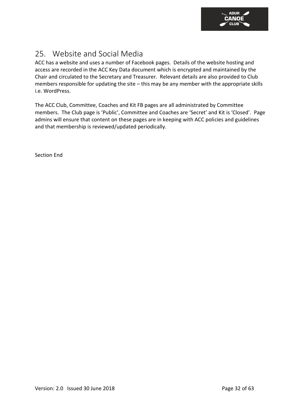

### <span id="page-32-0"></span>25. Website and Social Media

ACC has a website and uses a number of Facebook pages. Details of the website hosting and access are recorded in the ACC Key Data document which is encrypted and maintained by the Chair and circulated to the Secretary and Treasurer. Relevant details are also provided to Club members responsible for updating the site – this may be any member with the appropriate skills i.e. WordPress.

The ACC Club, Committee, Coaches and Kit FB pages are all administrated by Committee members. The Club page is 'Public', Committee and Coaches are 'Secret' and Kit is 'Closed'. Page admins will ensure that content on these pages are in keeping with ACC policies and guidelines and that membership is reviewed/updated periodically.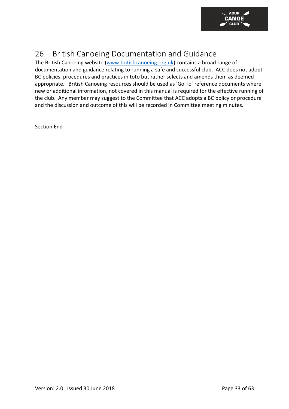

### <span id="page-33-0"></span>26. British Canoeing Documentation and Guidance

The British Canoeing website [\(www.britishcanoeing.org.uk\)](http://www.britishcanoeing.org.uk/) contains a broad range of documentation and guidance relating to running a safe and successful club. ACC does not adopt BC policies, procedures and practices in toto but rather selects and amends them as deemed appropriate. British Canoeing resources should be used as 'Go To' reference documents where new or additional information, not covered in this manual is required for the effective running of the club. Any member may suggest to the Committee that ACC adopts a BC policy or procedure and the discussion and outcome of this will be recorded in Committee meeting minutes.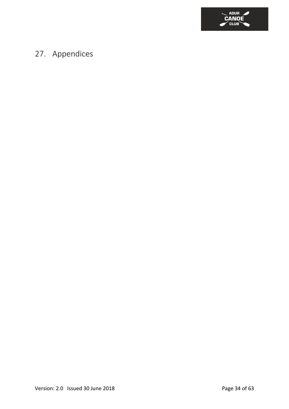

### <span id="page-34-0"></span>27. Appendices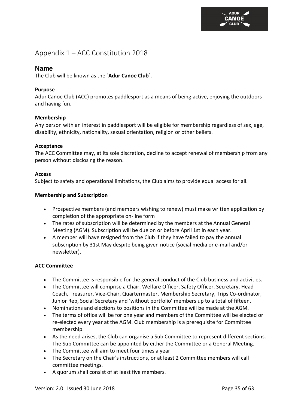**ANOE** 

<span id="page-35-0"></span>Appendix 1 – ACC Constitution 2018

#### **Name**

The Club will be known as the `**Adur Canoe Club**`.

#### **Purpose**

Adur Canoe Club (ACC) promotes paddlesport as a means of being active, enjoying the outdoors and having fun.

#### **Membership**

Any person with an interest in paddlesport will be eligible for membership regardless of sex, age, disability, ethnicity, nationality, sexual orientation, religion or other beliefs.

#### **Acceptance**

The ACC Committee may, at its sole discretion, decline to accept renewal of membership from any person without disclosing the reason.

#### **Access**

Subject to safety and operational limitations, the Club aims to provide equal access for all.

#### **Membership and Subscription**

- Prospective members (and members wishing to renew) must make written application by completion of the appropriate on-line form
- The rates of subscription will be determined by the members at the Annual General Meeting (AGM). Subscription will be due on or before April 1st in each year.
- A member will have resigned from the Club if they have failed to pay the annual subscription by 31st May despite being given notice (social media or e-mail and/or newsletter).

#### **ACC Committee**

- The Committee is responsible for the general conduct of the Club business and activities.
- The Committee will comprise a Chair, Welfare Officer, Safety Officer, Secretary, Head Coach, Treasurer, Vice-Chair, Quartermaster, Membership Secretary, Trips Co-ordinator, Junior Rep, Social Secretary and 'without portfolio' members up to a total of fifteen.
- Nominations and elections to positions in the Committee will be made at the AGM.
- The terms of office will be for one year and members of the Committee will be elected or re-elected every year at the AGM. Club membership is a prerequisite for Committee membership.
- As the need arises, the Club can organise a Sub Committee to represent different sections. The Sub Committee can be appointed by either the Committee or a General Meeting.
- The Committee will aim to meet four times a year
- The Secretary on the Chair's instructions, or at least 2 Committee members will call committee meetings.
- A quorum shall consist of at least five members.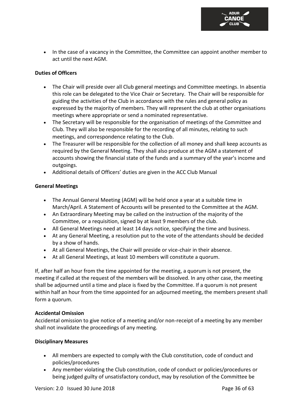

• In the case of a vacancy in the Committee, the Committee can appoint another member to act until the next AGM.

#### **Duties of Officers**

- The Chair will preside over all Club general meetings and Committee meetings. In absentia this role can be delegated to the Vice Chair or Secretary. The Chair will be responsible for guiding the activities of the Club in accordance with the rules and general policy as expressed by the majority of members. They will represent the club at other organisations meetings where appropriate or send a nominated representative.
- The Secretary will be responsible for the organisation of meetings of the Committee and Club. They will also be responsible for the recording of all minutes, relating to such meetings, and correspondence relating to the Club.
- The Treasurer will be responsible for the collection of all money and shall keep accounts as required by the General Meeting. They shall also produce at the AGM a statement of accounts showing the financial state of the funds and a summary of the year's income and outgoings.
- Additional details of Officers' duties are given in the ACC Club Manual

#### **General Meetings**

- The Annual General Meeting (AGM) will be held once a year at a suitable time in March/April. A Statement of Accounts will be presented to the Committee at the AGM.
- An Extraordinary Meeting may be called on the instruction of the majority of the Committee, or a requisition, signed by at least 9 members of the club.
- All General Meetings need at least 14 days notice, specifying the time and business.
- At any General Meeting, a resolution put to the vote of the attendants should be decided by a show of hands.
- At all General Meetings, the Chair will preside or vice-chair in their absence.
- At all General Meetings, at least 10 members will constitute a quorum.

If, after half an hour from the time appointed for the meeting, a quorum is not present, the meeting if called at the request of the members will be dissolved. In any other case, the meeting shall be adjourned until a time and place is fixed by the Committee. If a quorum is not present within half an hour from the time appointed for an adjourned meeting, the members present shall form a quorum.

#### **Accidental Omission**

Accidental omission to give notice of a meeting and/or non-receipt of a meeting by any member shall not invalidate the proceedings of any meeting.

#### **Disciplinary Measures**

- All members are expected to comply with the Club constitution, code of conduct and policies/procedures
- Any member violating the Club constitution, code of conduct or policies/procedures or being judged guilty of unsatisfactory conduct, may by resolution of the Committee be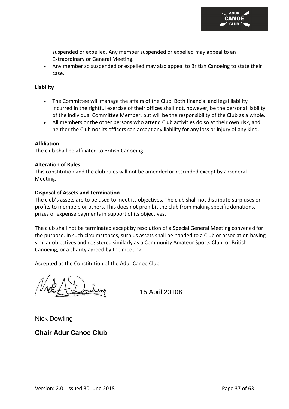

suspended or expelled. Any member suspended or expelled may appeal to an Extraordinary or General Meeting.

• Any member so suspended or expelled may also appeal to British Canoeing to state their case.

#### **Liability**

- The Committee will manage the affairs of the Club. Both financial and legal liability incurred in the rightful exercise of their offices shall not, however, be the personal liability of the individual Committee Member, but will be the responsibility of the Club as a whole.
- All members or the other persons who attend Club activities do so at their own risk, and neither the Club nor its officers can accept any liability for any loss or injury of any kind.

#### **Affiliation**

The club shall be affiliated to British Canoeing.

#### **Alteration of Rules**

This constitution and the club rules will not be amended or rescinded except by a General Meeting.

#### **Disposal of Assets and Termination**

The club's assets are to be used to meet its objectives. The club shall not distribute surpluses or profits to members or others. This does not prohibit the club from making specific donations, prizes or expense payments in support of its objectives.

The club shall not be terminated except by resolution of a Special General Meeting convened for the purpose. In such circumstances, surplus assets shall be handed to a Club or association having similar objectives and registered similarly as a Community Amateur Sports Club, or British Canoeing, or a charity agreed by the meeting.

Accepted as the Constitution of the Adur Canoe Club

15 April 20108

Nick Dowling

### **Chair Adur Canoe Club**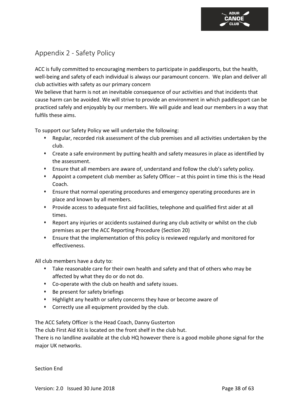### <span id="page-38-0"></span>Appendix 2 - Safety Policy

ACC is fully committed to encouraging members to participate in paddlesports, but the health, well-being and safety of each individual is always our paramount concern. We plan and deliver all club activities with safety as our primary concern

We believe that harm is not an inevitable consequence of our activities and that incidents that cause harm can be avoided. We will strive to provide an environment in which paddlesport can be practiced safely and enjoyably by our members. We will guide and lead our members in a way that fulfils these aims.

To support our Safety Policy we will undertake the following:

- ⬧ Regular, recorded risk assessment of the club premises and all activities undertaken by the club.
- ⬧ Create a safe environment by putting health and safety measures in place as identified by the assessment.
- ⬧ Ensure that all members are aware of, understand and follow the club's safety policy.
- ⬧ Appoint a competent club member as Safety Officer at this point in time this is the Head Coach.
- ⬧ Ensure that normal operating procedures and emergency operating procedures are in place and known by all members.
- ⬧ Provide access to adequate first aid facilities, telephone and qualified first aider at all times.
- ⬧ Report any injuries or accidents sustained during any club activity or whilst on the club premises as per the ACC Reporting Procedure (Section 20)
- ⬧ Ensure that the implementation of this policy is reviewed regularly and monitored for effectiveness.

All club members have a duty to:

- ⬧ Take reasonable care for their own health and safety and that of others who may be affected by what they do or do not do.
- ⬧ Co-operate with the club on health and safety issues.
- ⬧ Be present for safety briefings
- ⬧ Highlight any health or safety concerns they have or become aware of
- ⬧ Correctly use all equipment provided by the club.

The ACC Safety Officer is the Head Coach, Danny Gusterton

The club First Aid Kit is located on the front shelf in the club hut.

There is no landline available at the club HQ however there is a good mobile phone signal for the major UK networks.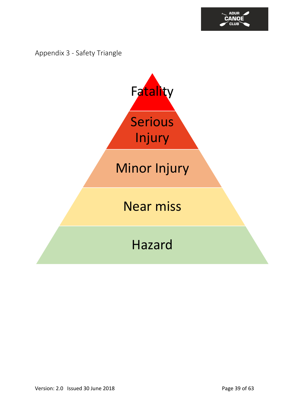

<span id="page-39-0"></span>Appendix 3 - Safety Triangle

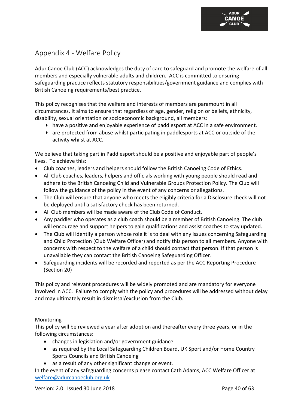### <span id="page-40-0"></span>Appendix 4 - Welfare Policy

Adur Canoe Club (ACC) acknowledges the duty of care to safeguard and promote the welfare of all members and especially vulnerable adults and children. ACC is committed to ensuring safeguarding practice reflects statutory responsibilities/government guidance and complies with British Canoeing requirements/best practice.

This policy recognises that the welfare and interests of members are paramount in all circumstances. It aims to ensure that regardless of age, gender, religion or beliefs, ethnicity, disability, sexual orientation or socioeconomic background, all members:

- $\blacktriangleright$  have a positive and enjoyable experience of paddlesport at ACC in a safe environment.
- are protected from abuse whilst participating in paddlesports at ACC or outside of the activity whilst at ACC.

We believe that taking part in Paddlesport should be a positive and enjoyable part of people's lives. To achieve this:

- Club coaches, leaders and helpers should follow the [British Canoeing Code of Ethics.](https://f58619eed67ecf47f9c5-69635130c45beb2524d5bafa9c042fe0.ssl.cf3.rackcdn.com/documents/British-Canoeing-Code-of-Ethics-2016.pdf)
- All Club coaches, leaders, helpers and officials working with young people should read and adhere to the British Canoeing Child and Vulnerable Groups Protection Policy. The Club will follow the guidance of the policy in the event of any concerns or allegations.
- The Club will ensure that anyone who meets the eligibly criteria for a Disclosure check will not be deployed until a satisfactory check has been returned.
- All Club members will be made aware of the Club Code of Conduct.
- Any paddler who operates as a club coach should be a member of British Canoeing. The club will encourage and support helpers to gain qualifications and assist coaches to stay updated.
- The Club will identify a person whose role it is to deal with any issues concerning Safeguarding and Child Protection (Club Welfare Officer) and notify this person to all members. Anyone with concerns with respect to the welfare of a child should contact that person. If that person is unavailable they can contact the British Canoeing Safeguarding Officer.
- Safeguarding incidents will be recorded and reported as per the ACC Reporting Procedure (Section 20)

This policy and relevant procedures will be widely promoted and are mandatory for everyone involved in ACC. Failure to comply with the policy and procedures will be addressed without delay and may ultimately result in dismissal/exclusion from the Club.

#### Monitoring

This policy will be reviewed a year after adoption and thereafter every three years, or in the following circumstances:

- changes in legislation and/or government guidance
- as required by the Local Safeguarding Children Board, UK Sport and/or Home Country Sports Councils and British Canoeing
- as a result of any other significant change or event.

In the event of any safeguarding concerns please contact Cath Adams, ACC Welfare Officer at [welfare@adurcanoeclub.org.uk](mailto:welfare@adurcanoeclub.org.uk)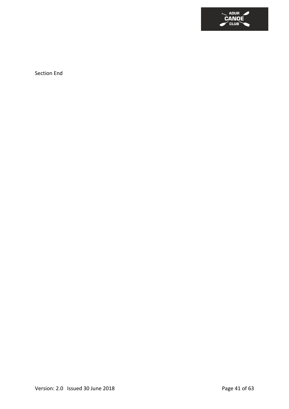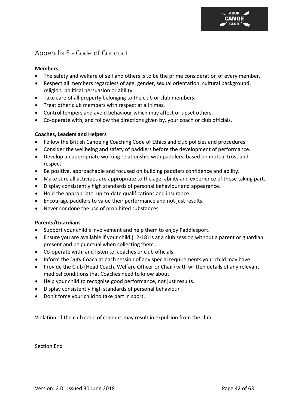### <span id="page-42-0"></span>Appendix 5 - Code of Conduct

#### **Members**

- The safety and welfare of self and others is to be the prime consideration of every member.
- Respect all members regardless of age, gender, sexual orientation, cultural background, religion, political persuasion or ability.
- Take care of all property belonging to the club or club members.
- Treat other club members with respect at all times.
- Control tempers and avoid behaviour which may affect or upset others.
- Co-operate with, and follow the directions given by, your coach or club officials.

#### **Coaches, Leaders and Helpers**

- Follow the British Canoeing Coaching Code of Ethics and club policies and procedures.
- Consider the wellbeing and safety of paddlers before the development of performance.
- Develop an appropriate working relationship with paddlers, based on mutual trust and respect.
- Be positive, approachable and focused on building paddlers confidence and ability.
- Make sure all activities are appropriate to the age, ability and experience of those taking part.
- Display consistently high standards of personal behaviour and appearance.
- Hold the appropriate, up-to-date qualifications and insurance.
- Encourage paddlers to value their performance and not just results.
- Never condone the use of prohibited substances.

#### **Parents/Guardians**

- Support your child's involvement and help them to enjoy Paddlesport.
- Ensure you are available if your child (12-18) is at a club session without a parent or guardian present and be punctual when collecting them.
- Co-operate with, and listen to, coaches or club officials.
- Inform the Duty Coach at each session of any special requirements your child may have.
- Provide the Club (Head Coach, Welfare Officer or Chair) with written details of any relevant medical conditions that Coaches need to know about.
- Help your child to recognise good performance, not just results.
- Display consistently high standards of personal behaviour
- Don't force your child to take part in sport.

Violation of the club code of conduct may result in expulsion from the club.

Section End

**ANOE**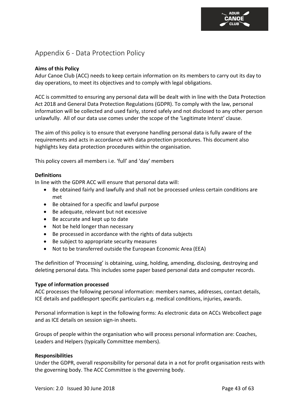### <span id="page-43-0"></span>Appendix 6 - Data Protection Policy

#### **Aims of this Policy**

Adur Canoe Club (ACC) needs to keep certain information on its members to carry out its day to day operations, to meet its objectives and to comply with legal obligations.

ACC is committed to ensuring any personal data will be dealt with in line with the Data Protection Act 2018 and General Data Protection Regulations (GDPR). To comply with the law, personal information will be collected and used fairly, stored safely and not disclosed to any other person unlawfully. All of our data use comes under the scope of the 'Legitimate Interst' clause.

The aim of this policy is to ensure that everyone handling personal data is fully aware of the requirements and acts in accordance with data protection procedures. This document also highlights key data protection procedures within the organisation.

This policy covers all members i.e. 'full' and 'day' members

#### **Definitions**

In line with the GDPR ACC will ensure that personal data will:

- Be obtained fairly and lawfully and shall not be processed unless certain conditions are met
- Be obtained for a specific and lawful purpose
- Be adequate, relevant but not excessive
- Be accurate and kept up to date
- Not be held longer than necessary
- Be processed in accordance with the rights of data subjects
- Be subject to appropriate security measures
- Not to be transferred outside the European Economic Area (EEA)

The definition of 'Processing' is obtaining, using, holding, amending, disclosing, destroying and deleting personal data. This includes some paper based personal data and computer records.

#### **Type of information processed**

ACC processes the following personal information: members names, addresses, contact details, ICE details and paddlesport specific particulars e.g. medical conditions, injuries, awards.

Personal information is kept in the following forms: As electronic data on ACCs Webcollect page and as ICE details on session sign-in sheets.

Groups of people within the organisation who will process personal information are: Coaches, Leaders and Helpers (typically Committee members).

#### **Responsibilities**

Under the GDPR, overall responsibility for personal data in a not for profit organisation rests with the governing body. The ACC Committee is the governing body.

**ANOE**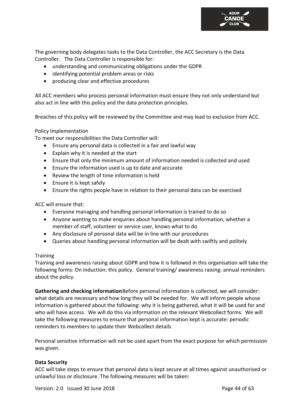

The governing body delegates tasks to the Data Controller, the ACC Secretary is the Data Controller. The Data Controller is responsible for:

- understanding and communicating obligations under the GDPR
- identifying potential problem areas or risks
- producing clear and effective procedures

All ACC members who process personal information must ensure they not only understand but also act in line with this policy and the data protection principles.

Breaches of this policy will be reviewed by the Committee and may lead to exclusion from ACC.

#### Policy Implementation

To meet our responsibilities the Data Controller will:

- Ensure any personal data is collected in a fair and lawful way
- Explain why it is needed at the start
- Ensure that only the minimum amount of information needed is collected and used
- Ensure the information used is up to date and accurate
- Review the length of time information is held
- Ensure it is kept safely
- Ensure the rights people have in relation to their personal data can be exercised

ACC will ensure that:

- Everyone managing and handling personal information is trained to do so
- Anyone wanting to make enquiries about handling personal information, whether a member of staff, volunteer or service user, knows what to do
- Any disclosure of personal data will be in line with our procedures
- Queries about handling personal information will be dealt with swiftly and politely

#### **Training**

Training and awareness raising about GDPR and how it is followed in this organisation will take the following forms: On induction: this policy. General training/ awareness raising: annual reminders about the policy.

**Gathering and checking information**Before personal information is collected, we will consider: what details are necessary and how long they will be needed for. We will inform people whose information is gathered about the following: why it is being gathered, what it will be used for and who will have access. We will do this via information on the relevant Webcollect forms. We will take the following measures to ensure that personal information kept is accurate: periodic reminders to members to update their Webcollect details

Personal sensitive information will not be used apart from the exact purpose for which permission was given.

#### **Data Security**

ACC will take steps to ensure that personal data is kept secure at all times against unauthorised or unlawful loss or disclosure. The following measures will be taken: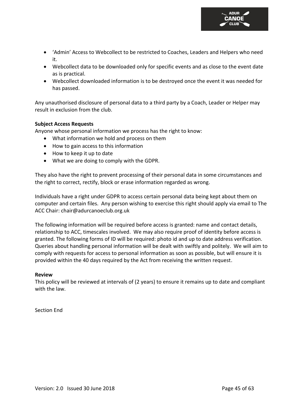

- 'Admin' Access to Webcollect to be restricted to Coaches, Leaders and Helpers who need it.
- Webcollect data to be downloaded only for specific events and as close to the event date as is practical.
- Webcollect downloaded information is to be destroyed once the event it was needed for has passed.

Any unauthorised disclosure of personal data to a third party by a Coach, Leader or Helper may result in exclusion from the club.

#### **Subject Access Requests**

Anyone whose personal information we process has the right to know:

- What information we hold and process on them
- How to gain access to this information
- How to keep it up to date
- What we are doing to comply with the GDPR.

They also have the right to prevent processing of their personal data in some circumstances and the right to correct, rectify, block or erase information regarded as wrong.

Individuals have a right under GDPR to access certain personal data being kept about them on computer and certain files. Any person wishing to exercise this right should apply via email to The ACC Chair: chair@adurcanoeclub.org.uk

The following information will be required before access is granted: name and contact details, relationship to ACC, timescales involved. We may also require proof of identity before access is granted. The following forms of ID will be required: photo id and up to date address verification. Queries about handling personal information will be dealt with swiftly and politely. We will aim to comply with requests for access to personal information as soon as possible, but will ensure it is provided within the 40 days required by the Act from receiving the written request.

#### **Review**

This policy will be reviewed at intervals of (2 years) to ensure it remains up to date and compliant with the law.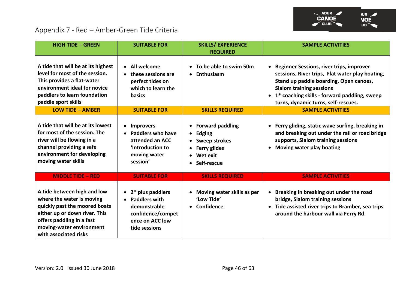

### Appendix 7 - Red – Amber-Green Tide Criteria

<span id="page-46-0"></span>

| <b>HIGH TIDE - GREEN</b>                                                                                                                                                                                     | <b>SUITABLE FOR</b>                                                                                                                | <b>SKILLS/ EXPERIENCE</b><br><b>REQUIRED</b>                                                                                   | <b>SAMPLE ACTIVITIES</b>                                                                                                                                                                                                                                                            |
|--------------------------------------------------------------------------------------------------------------------------------------------------------------------------------------------------------------|------------------------------------------------------------------------------------------------------------------------------------|--------------------------------------------------------------------------------------------------------------------------------|-------------------------------------------------------------------------------------------------------------------------------------------------------------------------------------------------------------------------------------------------------------------------------------|
| A tide that will be at its highest<br>level for most of the session.<br>This provides a flat-water<br>environment ideal for novice<br>paddlers to learn foundation<br>paddle sport skills                    | • All welcome<br>• these sessions are<br>perfect tides on<br>which to learn the<br>basics                                          | • To be able to swim 50m<br>Enthusiasm                                                                                         | <b>Beginner Sessions, river trips, improver</b><br>sessions, River trips, Flat water play boating,<br>Stand up paddle boarding, Open canoes,<br><b>Slalom training sessions</b><br>1* coaching skills - forward paddling, sweep<br>$\bullet$<br>turns, dynamic turns, self-rescues. |
| <b>LOW TIDE - AMBER</b>                                                                                                                                                                                      | <b>SUITABLE FOR</b>                                                                                                                | <b>SKILLS REQUIRED</b>                                                                                                         | <b>SAMPLE ACTIVITIES</b>                                                                                                                                                                                                                                                            |
| A tide that will be at its lowest<br>for most of the session. The<br>river will be flowing in a<br>channel providing a safe<br>environment for developing<br>moving water skills                             | <b>Improvers</b><br>$\bullet$<br><b>Paddlers who have</b><br>attended an ACC<br><b>Introduction to</b><br>moving water<br>session' | <b>Forward paddling</b><br>$\bullet$<br>Edging<br>$\bullet$<br><b>Sweep strokes</b><br>Ferry glides<br>Wet exit<br>Self-rescue | Ferry gliding, static wave surfing, breaking in<br>$\bullet$<br>and breaking out under the rail or road bridge<br>supports, Slalom training sessions<br>Moving water play boating<br>$\bullet$                                                                                      |
| <b>MIDDLE TIDE - RED</b>                                                                                                                                                                                     | <b>SUITABLE FOR</b>                                                                                                                | <b>SKILLS REQUIRED</b>                                                                                                         | <b>SAMPLE ACTIVITIES</b>                                                                                                                                                                                                                                                            |
| A tide between high and low<br>where the water is moving<br>quickly past the moored boats<br>either up or down river. This<br>offers paddling in a fast<br>moving-water environment<br>with associated risks | $\bullet$ 2* plus paddlers<br><b>Paddlers with</b><br>demonstrable<br>confidence/compet<br>ence on ACC low<br>tide sessions        | Moving water skills as per<br>'Low Tide'<br><b>Confidence</b>                                                                  | Breaking in breaking out under the road<br>$\bullet$<br>bridge, Slalom training sessions<br>Tide assisted river trips to Bramber, sea trips<br>$\bullet$<br>around the harbour wall via Ferry Rd.                                                                                   |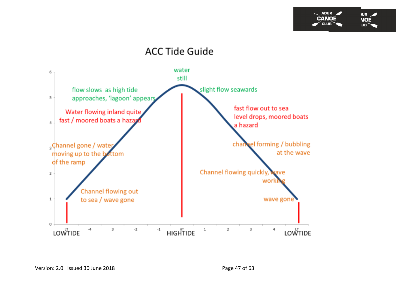

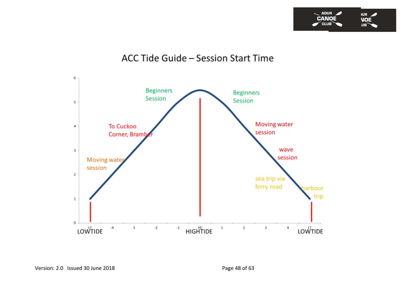

### ACC Tide Guide - Session Start Time

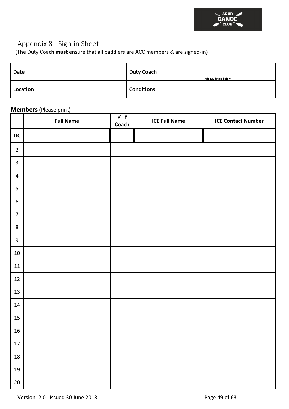

### <span id="page-49-0"></span>Appendix 8 - Sign-in Sheet

(The Duty Coach **must** ensure that all paddlers are ACC members & are signed-in)

| <b>Date</b> | <b>Duty Coach</b> | Add ICE details below |
|-------------|-------------------|-----------------------|
| Location    | <b>Conditions</b> |                       |

### **Members** (Please print)

|                             | <b>Full Name</b> | $\checkmark$ If<br>Coach | <b>ICE Full Name</b> | <b>ICE Contact Number</b> |
|-----------------------------|------------------|--------------------------|----------------------|---------------------------|
| $\overline{\phantom{a}}$ DC |                  |                          |                      |                           |
| $\mathbf 2$                 |                  |                          |                      |                           |
| $\mathbf{3}$                |                  |                          |                      |                           |
| $\overline{4}$              |                  |                          |                      |                           |
| $\overline{5}$              |                  |                          |                      |                           |
| $\boldsymbol{6}$            |                  |                          |                      |                           |
| $\overline{7}$              |                  |                          |                      |                           |
| $\bf 8$                     |                  |                          |                      |                           |
| $\boldsymbol{9}$            |                  |                          |                      |                           |
| $10\,$                      |                  |                          |                      |                           |
| 11                          |                  |                          |                      |                           |
| 12                          |                  |                          |                      |                           |
| 13                          |                  |                          |                      |                           |
| 14                          |                  |                          |                      |                           |
| 15                          |                  |                          |                      |                           |
| 16                          |                  |                          |                      |                           |
| $17\,$                      |                  |                          |                      |                           |
| $18\,$                      |                  |                          |                      |                           |
| $19\,$                      |                  |                          |                      |                           |
| $20\,$                      |                  |                          |                      |                           |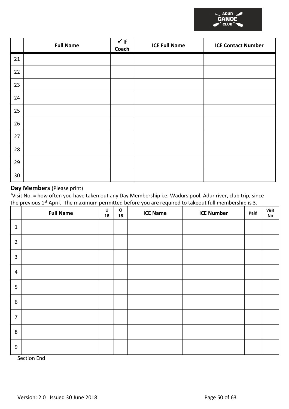|    | <b>Full Name</b> | $\sqrt{1}$<br>Coach | <b>ICE Full Name</b> | <b>ICE Contact Number</b> |
|----|------------------|---------------------|----------------------|---------------------------|
| 21 |                  |                     |                      |                           |
| 22 |                  |                     |                      |                           |
| 23 |                  |                     |                      |                           |
| 24 |                  |                     |                      |                           |
| 25 |                  |                     |                      |                           |
| 26 |                  |                     |                      |                           |
| 27 |                  |                     |                      |                           |
| 28 |                  |                     |                      |                           |
| 29 |                  |                     |                      |                           |
| 30 |                  |                     |                      |                           |

### **Day Members** (Please print)

'Visit No. = how often you have taken out any Day Membership i.e. Wadurs pool, Adur river, club trip, since the previous 1<sup>st</sup> April. The maximum permitted before you are required to takeout full membership is 3.

|                | <b>Full Name</b> | U<br>18 | $\mathbf{o}$<br>18 | <b>ICE Name</b> | <b>ICE Number</b> | Paid | Visit<br>No |
|----------------|------------------|---------|--------------------|-----------------|-------------------|------|-------------|
| $\mathbf{1}$   |                  |         |                    |                 |                   |      |             |
| $\overline{2}$ |                  |         |                    |                 |                   |      |             |
| $\overline{3}$ |                  |         |                    |                 |                   |      |             |
| $\overline{4}$ |                  |         |                    |                 |                   |      |             |
| 5              |                  |         |                    |                 |                   |      |             |
| 6              |                  |         |                    |                 |                   |      |             |
| $\overline{7}$ |                  |         |                    |                 |                   |      |             |
| $\,8\,$        |                  |         |                    |                 |                   |      |             |
| 9              |                  |         |                    |                 |                   |      |             |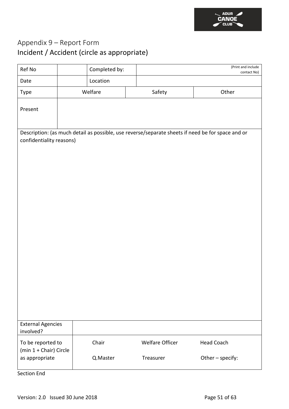

### <span id="page-51-0"></span>Appendix 9 – Report Form Incident / Accident (circle as appropriate)

| Ref No                                      | Completed by: | (Print and include<br>contact No) |                                                                                                   |
|---------------------------------------------|---------------|-----------------------------------|---------------------------------------------------------------------------------------------------|
| Date                                        | Location      |                                   |                                                                                                   |
| Type                                        | Welfare       | Safety                            | Other                                                                                             |
| Present                                     |               |                                   |                                                                                                   |
|                                             |               |                                   | Description: (as much detail as possible, use reverse/separate sheets if need be for space and or |
| confidentiality reasons)                    |               |                                   |                                                                                                   |
|                                             |               |                                   |                                                                                                   |
|                                             |               |                                   |                                                                                                   |
|                                             |               |                                   |                                                                                                   |
|                                             |               |                                   |                                                                                                   |
|                                             |               |                                   |                                                                                                   |
|                                             |               |                                   |                                                                                                   |
|                                             |               |                                   |                                                                                                   |
|                                             |               |                                   |                                                                                                   |
|                                             |               |                                   |                                                                                                   |
|                                             |               |                                   |                                                                                                   |
|                                             |               |                                   |                                                                                                   |
|                                             |               |                                   |                                                                                                   |
|                                             |               |                                   |                                                                                                   |
|                                             |               |                                   |                                                                                                   |
|                                             |               |                                   |                                                                                                   |
|                                             |               |                                   |                                                                                                   |
| <b>External Agencies</b><br>involved?       |               |                                   |                                                                                                   |
| To be reported to<br>(min 1 + Chair) Circle | Chair         | <b>Welfare Officer</b>            | <b>Head Coach</b>                                                                                 |
| as appropriate                              | Q.Master      | Treasurer                         | Other - specify:                                                                                  |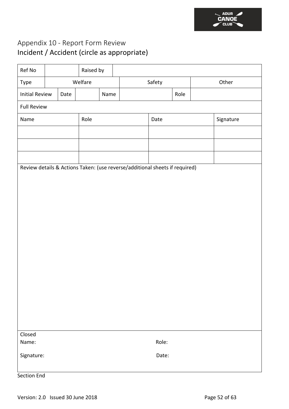

### <span id="page-52-0"></span>Appendix 10 - Report Form Review Incident / Accident (circle as appropriate)

| Ref No                |      | Raised by |      |                                                                             |        |      |           |
|-----------------------|------|-----------|------|-----------------------------------------------------------------------------|--------|------|-----------|
| Type                  |      | Welfare   |      |                                                                             | Safety |      | Other     |
| <b>Initial Review</b> | Date |           | Name |                                                                             |        | Role |           |
| <b>Full Review</b>    |      |           |      |                                                                             |        |      |           |
| Name                  |      | Role      |      |                                                                             | Date   |      | Signature |
|                       |      |           |      |                                                                             |        |      |           |
|                       |      |           |      |                                                                             |        |      |           |
|                       |      |           |      |                                                                             |        |      |           |
|                       |      |           |      | Review details & Actions Taken: (use reverse/additional sheets if required) |        |      |           |
|                       |      |           |      |                                                                             |        |      |           |
|                       |      |           |      |                                                                             |        |      |           |
|                       |      |           |      |                                                                             |        |      |           |
|                       |      |           |      |                                                                             |        |      |           |
|                       |      |           |      |                                                                             |        |      |           |
|                       |      |           |      |                                                                             |        |      |           |
|                       |      |           |      |                                                                             |        |      |           |
|                       |      |           |      |                                                                             |        |      |           |
|                       |      |           |      |                                                                             |        |      |           |
|                       |      |           |      |                                                                             |        |      |           |
|                       |      |           |      |                                                                             |        |      |           |
|                       |      |           |      |                                                                             |        |      |           |
|                       |      |           |      |                                                                             |        |      |           |
| Closed<br>Name:       |      |           |      |                                                                             | Role:  |      |           |
| Signature:            |      |           |      |                                                                             | Date:  |      |           |
|                       |      |           |      |                                                                             |        |      |           |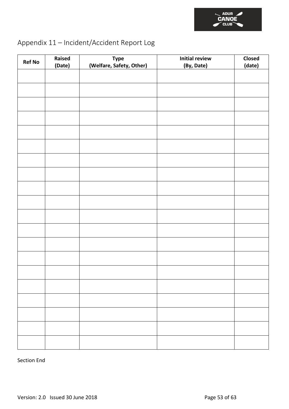

### <span id="page-53-0"></span>Appendix 11 – Incident/Accident Report Log

| <b>Ref No</b> | Raised<br>(Date) | <b>Type</b><br>(Welfare, Safety, Other) | <b>Initial review</b><br>(By, Date) | Closed<br>(date) |
|---------------|------------------|-----------------------------------------|-------------------------------------|------------------|
|               |                  |                                         |                                     |                  |
|               |                  |                                         |                                     |                  |
|               |                  |                                         |                                     |                  |
|               |                  |                                         |                                     |                  |
|               |                  |                                         |                                     |                  |
|               |                  |                                         |                                     |                  |
|               |                  |                                         |                                     |                  |
|               |                  |                                         |                                     |                  |
|               |                  |                                         |                                     |                  |
|               |                  |                                         |                                     |                  |
|               |                  |                                         |                                     |                  |
|               |                  |                                         |                                     |                  |
|               |                  |                                         |                                     |                  |
|               |                  |                                         |                                     |                  |
|               |                  |                                         |                                     |                  |
|               |                  |                                         |                                     |                  |
|               |                  |                                         |                                     |                  |
|               |                  |                                         |                                     |                  |
|               |                  |                                         |                                     |                  |
|               |                  |                                         |                                     |                  |
|               |                  |                                         |                                     |                  |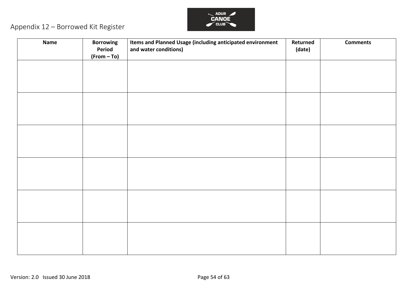

### Appendix 12 – Borrowed Kit Register

<span id="page-54-0"></span>

| <b>Name</b> | <b>Borrowing</b><br>Period<br>$(From - To)$ | Items and Planned Usage (including anticipated environment<br>and water conditions) | Returned<br>(date) | <b>Comments</b> |
|-------------|---------------------------------------------|-------------------------------------------------------------------------------------|--------------------|-----------------|
|             |                                             |                                                                                     |                    |                 |
|             |                                             |                                                                                     |                    |                 |
|             |                                             |                                                                                     |                    |                 |
|             |                                             |                                                                                     |                    |                 |
|             |                                             |                                                                                     |                    |                 |
|             |                                             |                                                                                     |                    |                 |
|             |                                             |                                                                                     |                    |                 |
|             |                                             |                                                                                     |                    |                 |
|             |                                             |                                                                                     |                    |                 |
|             |                                             |                                                                                     |                    |                 |
|             |                                             |                                                                                     |                    |                 |
|             |                                             |                                                                                     |                    |                 |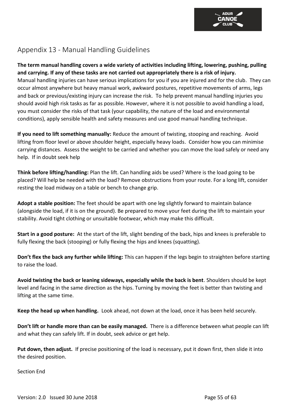### <span id="page-55-0"></span>Appendix 13 - Manual Handling Guidelines

#### **The term manual handling covers a wide variety of activities including lifting, lowering, pushing, pulling and carrying. If any of these tasks are not carried out appropriately there is a risk of injury.**

Manual handling injuries can have serious implications for you if you are injured and for the club. They can occur almost anywhere but heavy manual work, awkward postures, repetitive movements of arms, legs and back or previous/existing injury can increase the risk. To help prevent manual handling injuries you should avoid high risk tasks as far as possible. However, where it is not possible to avoid handling a load, you must consider the risks of that task (your capability, the nature of the load and environmental conditions), apply sensible health and safety measures and use good manual handling technique.

**If you need to lift something manually:** Reduce the amount of twisting, stooping and reaching. Avoid lifting from floor level or above shoulder height, especially heavy loads. Consider how you can minimise carrying distances. Assess the weight to be carried and whether you can move the load safely or need any help. If in doubt seek help

**Think before lifting/handling:** Plan the lift. Can handling aids be used? Where is the load going to be placed? Will help be needed with the load? Remove obstructions from your route. For a long lift, consider resting the load midway on a table or bench to change grip.

**Adopt a stable position:** The feet should be apart with one leg slightly forward to maintain balance (alongside the load, if it is on the ground). Be prepared to move your feet during the lift to maintain your stability. Avoid tight clothing or unsuitable footwear, which may make this difficult.

**Start in a good posture:** At the start of the lift, slight bending of the back, hips and knees is preferable to fully flexing the back (stooping) or fully flexing the hips and knees (squatting).

**Don't flex the back any further while lifting:** This can happen if the legs begin to straighten before starting to raise the load.

**Avoid twisting the back or leaning sideways, especially while the back is bent**. Shoulders should be kept level and facing in the same direction as the hips. Turning by moving the feet is better than twisting and lifting at the same time.

**Keep the head up when handling.** Look ahead, not down at the load, once it has been held securely.

**Don't lift or handle more than can be easily managed.** There is a difference between what people can lift and what they can safely lift. If in doubt, seek advice or get help.

**Put down, then adjust.** If precise positioning of the load is necessary, put it down first, then slide it into the desired position.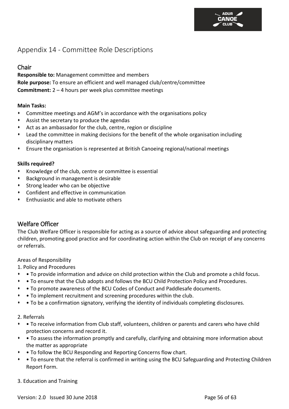### <span id="page-56-0"></span>Appendix 14 - Committee Role Descriptions

### <span id="page-56-1"></span>Chair

**Responsible to:** Management committee and members **Role purpose:** To ensure an efficient and well managed club/centre/committee **Commitment:** 2 – 4 hours per week plus committee meetings

#### **Main Tasks:**

- ⬧ Committee meetings and AGM's in accordance with the organisations policy
- ⬧ Assist the secretary to produce the agendas
- ⬧ Act as an ambassador for the club, centre, region or discipline
- Lead the committee in making decisions for the benefit of the whole organisation including disciplinary matters
- ⬧ Ensure the organisation is represented at British Canoeing regional/national meetings

#### **Skills required?**

- ⬧ Knowledge of the club, centre or committee is essential
- ⬧ Background in management is desirable
- Strong leader who can be objective
- ⬧ Confident and effective in communication
- ⬧ Enthusiastic and able to motivate others

### <span id="page-56-2"></span>Welfare Officer

The Club Welfare Officer is responsible for acting as a source of advice about safeguarding and protecting children, promoting good practice and for coordinating action within the Club on receipt of any concerns or referrals.

Areas of Responsibility

1. Policy and Procedures

- ⬧ To provide information and advice on child protection within the Club and promote a child focus.
- ⬧ To ensure that the Club adopts and follows the BCU Child Protection Policy and Procedures.
- ⬧ To promote awareness of the BCU Codes of Conduct and Paddlesafe documents.
- ⬧ To implement recruitment and screening procedures within the club.
- ⬧ To be a confirmation signatory, verifying the identity of individuals completing disclosures.

#### 2. Referrals

- ⬧ To receive information from Club staff, volunteers, children or parents and carers who have child protection concerns and record it.
- ⬧ To assess the information promptly and carefully, clarifying and obtaining more information about the matter as appropriate
- ⬧ To follow the BCU Responding and Reporting Concerns flow chart.
- ⬧ To ensure that the referral is confirmed in writing using the BCU Safeguarding and Protecting Children Report Form.
- 3. Education and Training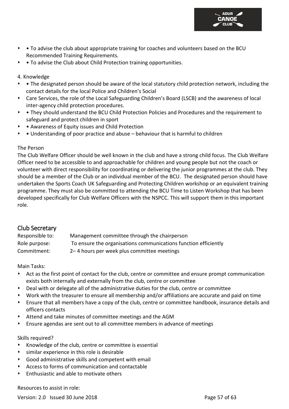

- To advise the club about appropriate training for coaches and volunteers based on the BCU Recommended Training Requirements.
- To advise the Club about Child Protection training opportunities.

#### 4. Knowledge

- ⬧ The designated person should be aware of the local statutory child protection network, including the contact details for the local Police and Children's Social
- ⬧ Care Services, the role of the Local Safeguarding Children's Board (LSCB) and the awareness of local inter-agency child protection procedures.
- ⬧ They should understand the BCU Child Protection Policies and Procedures and the requirement to safeguard and protect children in sport
- ⬧ Awareness of Equity issues and Child Protection
- ⬧ Understanding of poor practice and abuse behaviour that is harmful to children

#### The Person

The Club Welfare Officer should be well known in the club and have a strong child focus. The Club Welfare Officer need to be accessible to and approachable for children and young people but not the coach or volunteer with direct responsibility for coordinating or delivering the junior programmes at the club. They should be a member of the Club or an individual member of the BCU. The designated person should have undertaken the Sports Coach UK Safeguarding and Protecting Children workshop or an equivalent training programme. They must also be committed to attending the BCU Time to Listen Workshop that has been developed specifically for Club Welfare Officers with the NSPCC. This will support them in this important role.

### <span id="page-57-0"></span>Club Secretary

| Responsible to: | Management committee through the chairperson                    |
|-----------------|-----------------------------------------------------------------|
| Role purpose:   | To ensure the organisations communications function efficiently |
| Commitment:     | 2–4 hours per week plus committee meetings                      |

Main Tasks:

- Act as the first point of contact for the club, centre or committee and ensure prompt communication exists both internally and externally from the club, centre or committee
- Deal with or delegate all of the administrative duties for the club, centre or committee
- Work with the treasurer to ensure all membership and/or affiliations are accurate and paid on time
- ⬧ Ensure that all members have a copy of the club, centre or committee handbook, insurance details and officers contacts
- ⬧ Attend and take minutes of committee meetings and the AGM
- ⬧ Ensure agendas are sent out to all committee members in advance of meetings

#### Skills required?

- ⬧ Knowledge of the club, centre or committee is essential
- similar experience in this role is desirable
- ⬧ Good administrative skills and competent with email
- ⬧ Access to forms of communication and contactable
- ⬧ Enthusiastic and able to motivate others

Resources to assist in role:

Version: 2.0 Issued 30 June 2018 **Page 57 of 63**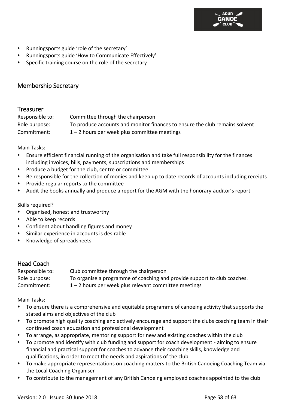

- ⬧ Runningsports guide 'role of the secretary'
- ⬧ Runningsports guide 'How to Communicate Effectively'
- Specific training course on the role of the secretary

### <span id="page-58-0"></span>Membership Secretary

#### <span id="page-58-1"></span>**Treasurer**

| Responsible to: | Committee through the chairperson                                           |
|-----------------|-----------------------------------------------------------------------------|
| Role purpose:   | To produce accounts and monitor finances to ensure the club remains solvent |
| Commitment:     | $1 - 2$ hours per week plus committee meetings                              |

Main Tasks:

- ⬧ Ensure efficient financial running of the organisation and take full responsibility for the finances including invoices, bills, payments, subscriptions and memberships
- Produce a budget for the club, centre or committee
- Be responsible for the collection of monies and keep up to date records of accounts including receipts
- ⬧ Provide regular reports to the committee
- ⬧ Audit the books annually and produce a report for the AGM with the honorary auditor's report

Skills required?

- ⬧ Organised, honest and trustworthy
- ⬧ Able to keep records
- ⬧ Confident about handling figures and money
- Similar experience in accounts is desirable
- ⬧ Knowledge of spreadsheets

### <span id="page-58-2"></span>Head Coach

| Responsible to: | Club committee through the chairperson                                   |
|-----------------|--------------------------------------------------------------------------|
| Role purpose:   | To organise a programme of coaching and provide support to club coaches. |
| Commitment:     | $1 - 2$ hours per week plus relevant committee meetings                  |

Main Tasks:

- ⬧ To ensure there is a comprehensive and equitable programme of canoeing activity that supports the stated aims and objectives of the club
- ⬧ To promote high quality coaching and actively encourage and support the clubs coaching team in their continued coach education and professional development
- ⬧ To arrange, as appropriate, mentoring support for new and existing coaches within the club
- ⬧ To promote and identify with club funding and support for coach development aiming to ensure financial and practical support for coaches to advance their coaching skills, knowledge and qualifications, in order to meet the needs and aspirations of the club
- ⬧ To make appropriate representations on coaching matters to the British Canoeing Coaching Team via the Local Coaching Organiser
- ⬧ To contribute to the management of any British Canoeing employed coaches appointed to the club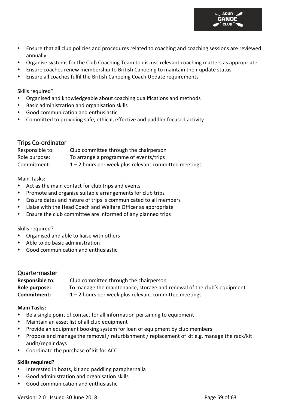

- ⬧ Organise systems for the Club Coaching Team to discuss relevant coaching matters as appropriate
- ⬧ Ensure coaches renew membership to British Canoeing to maintain their update status
- ⬧ Ensure all coaches fulfil the British Canoeing Coach Update requirements

Skills required?

- ⬧ Organised and knowledgeable about coaching qualifications and methods
- ⬧ Basic administration and organisation skills
- ⬧ Good communication and enthusiastic
- ⬧ Committed to providing safe, ethical, effective and paddler focused activity

### <span id="page-59-0"></span>Trips Co-ordinator

| Responsible to: | Club committee through the chairperson                  |
|-----------------|---------------------------------------------------------|
| Role purpose:   | To arrange a programme of events/trips                  |
| Commitment:     | $1 - 2$ hours per week plus relevant committee meetings |

Main Tasks:

- Act as the main contact for club trips and events
- ⬧ Promote and organise suitable arrangements for club trips
- ⬧ Ensure dates and nature of trips is communicated to all members
- ⬧ Liaise with the Head Coach and Welfare Officer as appropriate
- ⬧ Ensure the club committee are informed of any planned trips

#### Skills required?

- ⬧ Organised and able to liaise with others
- ⬧ Able to do basic administration
- ⬧ Good communication and enthusiastic

#### <span id="page-59-1"></span>Quartermaster

| <b>Responsible to:</b> | Club committee through the chairperson                                 |
|------------------------|------------------------------------------------------------------------|
| Role purpose:          | To manage the maintenance, storage and renewal of the club's equipment |
| Commitment:            | $1 - 2$ hours per week plus relevant committee meetings                |

#### **Main Tasks:**

- ⬧ Be a single point of contact for all information pertaining to equipment
- ⬧ Maintain an asset list of all club equipment
- Provide an equipment booking system for loan of equipment by club members
- Propose and manage the removal / refurbishment / replacement of kit e.g. manage the rack/kit audit/repair days
- ⬧ Coordinate the purchase of kit for ACC

#### **Skills required?**

- ⬧ Interested in boats, kit and paddling paraphernalia
- ⬧ Good administration and organisation skills
- ⬧ Good communication and enthusiastic

**ANOE**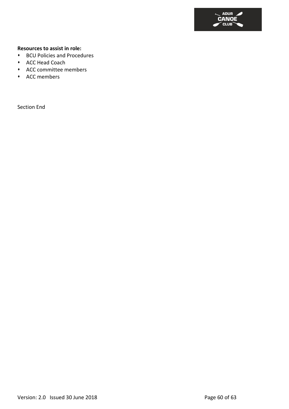

#### **Resources to assist in role:**

- ⬧ BCU Policies and Procedures
- ⬧ ACC Head Coach
- ⬧ ACC committee members
- ⬧ ACC members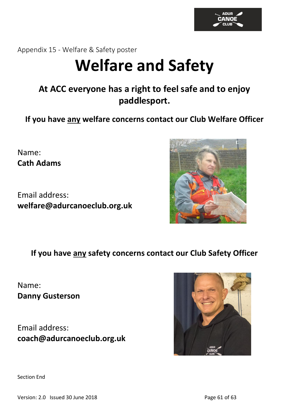

<span id="page-61-0"></span>Appendix 15 - Welfare & Safety poster

# **Welfare and Safety**

### **At ACC everyone has a right to feel safe and to enjoy paddlesport.**

**If you have any welfare concerns contact our Club Welfare Officer**

Name: **Cath Adams**

Email address: **welfare@adurcanoeclub.org.uk**



**If you have any safety concerns contact our Club Safety Officer**

Name: **Danny Gusterson**

Email address: **coach@adurcanoeclub.org.uk**